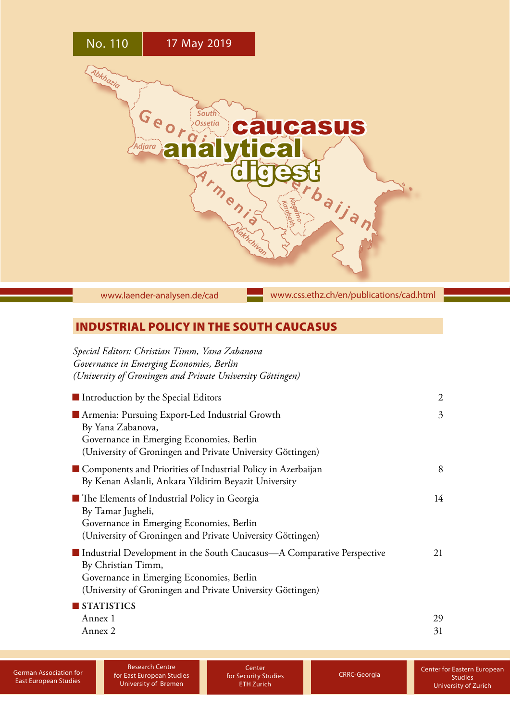

[www.laender-analysen.de/cad](http://www.laender-analysen.de/cad)

[www.css.ethz.ch/en/publications/cad.html](http://www.css.ethz.ch/en/publications/cad.html)

# INDUSTRIAL POLICY IN THE SOUTH CAUCASUS

| Special Editors: Christian Timm, Yana Zabanova<br>Governance in Emerging Economies, Berlin<br>(University of Groningen and Private University Göttingen)                                               |                |
|--------------------------------------------------------------------------------------------------------------------------------------------------------------------------------------------------------|----------------|
| ■ Introduction by the Special Editors                                                                                                                                                                  | $\overline{c}$ |
| Armenia: Pursuing Export-Led Industrial Growth<br>By Yana Zabanova,<br>Governance in Emerging Economies, Berlin<br>(University of Groningen and Private University Göttingen)                          | 3              |
| Components and Priorities of Industrial Policy in Azerbaijan<br>By Kenan Aslanli, Ankara Yildirim Beyazit University                                                                                   | 8              |
| ■ The Elements of Industrial Policy in Georgia<br>By Tamar Jugheli,<br>Governance in Emerging Economies, Berlin<br>(University of Groningen and Private University Göttingen)                          | 14             |
| Industrial Development in the South Caucasus—A Comparative Perspective<br>By Christian Timm,<br>Governance in Emerging Economies, Berlin<br>(University of Groningen and Private University Göttingen) | 21             |
| STATISTICS<br>Annex 1<br>Annex 2                                                                                                                                                                       | 29<br>31       |

**Center** for Security Studies ETH Zurich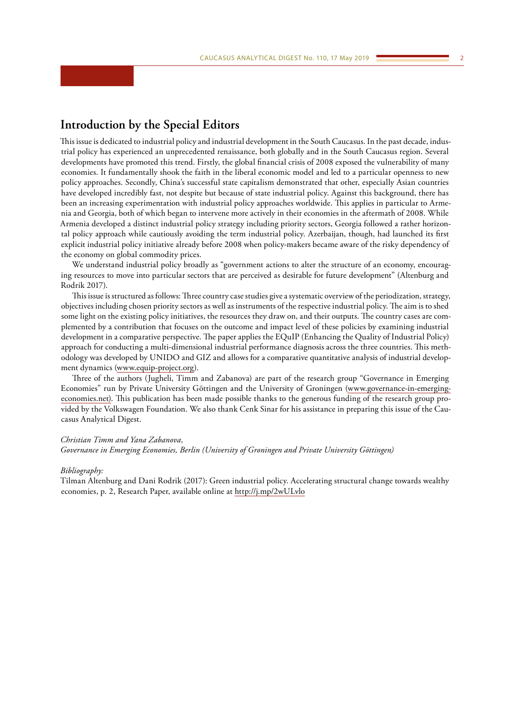# <span id="page-1-0"></span>**Introduction by the Special Editors**

This issue is dedicated to industrial policy and industrial development in the South Caucasus. In the past decade, industrial policy has experienced an unprecedented renaissance, both globally and in the South Caucasus region. Several developments have promoted this trend. Firstly, the global financial crisis of 2008 exposed the vulnerability of many economies. It fundamentally shook the faith in the liberal economic model and led to a particular openness to new policy approaches. Secondly, China's successful state capitalism demonstrated that other, especially Asian countries have developed incredibly fast, not despite but because of state industrial policy. Against this background, there has been an increasing experimentation with industrial policy approaches worldwide. This applies in particular to Armenia and Georgia, both of which began to intervene more actively in their economies in the aftermath of 2008. While Armenia developed a distinct industrial policy strategy including priority sectors, Georgia followed a rather horizontal policy approach while cautiously avoiding the term industrial policy. Azerbaijan, though, had launched its first explicit industrial policy initiative already before 2008 when policy-makers became aware of the risky dependency of the economy on global commodity prices.

We understand industrial policy broadly as "government actions to alter the structure of an economy, encouraging resources to move into particular sectors that are perceived as desirable for future development" (Altenburg and Rodrik 2017).

This issue is structured as follows: Three country case studies give a systematic overview of the periodization, strategy, objectives including chosen priority sectors as well as instruments of the respective industrial policy. The aim is to shed some light on the existing policy initiatives, the resources they draw on, and their outputs. The country cases are complemented by a contribution that focuses on the outcome and impact level of these policies by examining industrial development in a comparative perspective. The paper applies the EQuIP (Enhancing the Quality of Industrial Policy) approach for conducting a multi-dimensional industrial performance diagnosis across the three countries. This methodology was developed by UNIDO and GIZ and allows for a comparative quantitative analysis of industrial development dynamics [\(www.equip-project.org\)](http://www.equip-project.org/).

Three of the authors (Jugheli, Timm and Zabanova) are part of the research group "Governance in Emerging Economies" run by Private University Göttingen and the University of Groningen [\(www.governance-in-emerging](http://www.governance-in-emerging-economies.net))[economies.net\).](http://www.governance-in-emerging-economies.net)) This publication has been made possible thanks to the generous funding of the research group provided by the Volkswagen Foundation. We also thank Cenk Sinar for his assistance in preparing this issue of the Caucasus Analytical Digest.

#### *Christian Timm and Yana Zabanova,*

*Governance in Emerging Economies, Berlin (University of Groningen and Private University Göttingen)*

#### *Bibliography:*

Tilman Altenburg and Dani Rodrik (2017): Green industrial policy. Accelerating structural change towards wealthy economies, p. 2, Research Paper, available online at<http://j.mp/2wULvlo>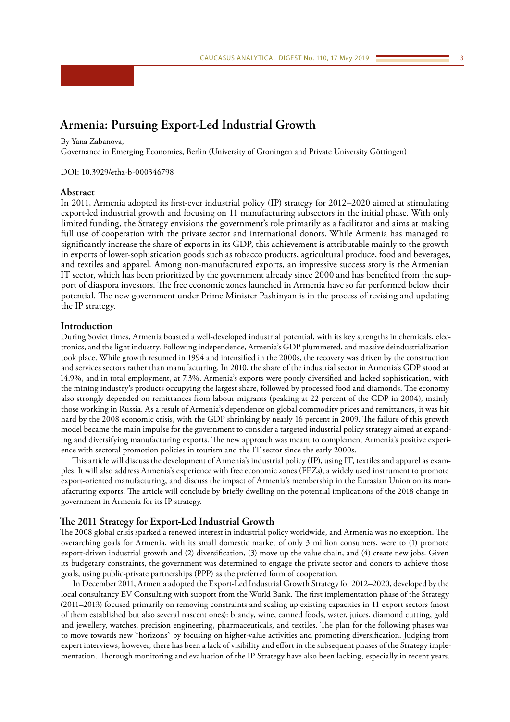# <span id="page-2-0"></span>**Armenia: Pursuing Export-Led Industrial Growth**

By Yana Zabanova,

Governance in Emerging Economies, Berlin (University of Groningen and Private University Göttingen)

#### DOI: [10.3929/ethz-b-000346798](https://doi.org/10.3929/ethz-b-000346798)

# **Abstract**

In 2011, Armenia adopted its first-ever industrial policy (IP) strategy for 2012–2020 aimed at stimulating export-led industrial growth and focusing on 11 manufacturing subsectors in the initial phase. With only limited funding, the Strategy envisions the government's role primarily as a facilitator and aims at making full use of cooperation with the private sector and international donors. While Armenia has managed to significantly increase the share of exports in its GDP, this achievement is attributable mainly to the growth in exports of lower-sophistication goods such as tobacco products, agricultural produce, food and beverages, and textiles and apparel. Among non-manufactured exports, an impressive success story is the Armenian IT sector, which has been prioritized by the government already since 2000 and has benefited from the support of diaspora investors. The free economic zones launched in Armenia have so far performed below their potential. The new government under Prime Minister Pashinyan is in the process of revising and updating the IP strategy.

#### **Introduction**

During Soviet times, Armenia boasted a well-developed industrial potential, with its key strengths in chemicals, electronics, and the light industry. Following independence, Armenia's GDP plummeted, and massive deindustrialization took place. While growth resumed in 1994 and intensified in the 2000s, the recovery was driven by the construction and services sectors rather than manufacturing. In 2010, the share of the industrial sector in Armenia's GDP stood at 14.9%, and in total employment, at 7.3%. Armenia's exports were poorly diversified and lacked sophistication, with the mining industry's products occupying the largest share, followed by processed food and diamonds. The economy also strongly depended on remittances from labour migrants (peaking at 22 percent of the GDP in 2004), mainly those working in Russia. As a result of Armenia's dependence on global commodity prices and remittances, it was hit hard by the 2008 economic crisis, with the GDP shrinking by nearly 16 percent in 2009. The failure of this growth model became the main impulse for the government to consider a targeted industrial policy strategy aimed at expanding and diversifying manufacturing exports. The new approach was meant to complement Armenia's positive experience with sectoral promotion policies in tourism and the IT sector since the early 2000s.

This article will discuss the development of Armenia's industrial policy (IP), using IT, textiles and apparel as examples. It will also address Armenia's experience with free economic zones (FEZs), a widely used instrument to promote export-oriented manufacturing, and discuss the impact of Armenia's membership in the Eurasian Union on its manufacturing exports. The article will conclude by briefly dwelling on the potential implications of the 2018 change in government in Armenia for its IP strategy.

#### **The 2011 Strategy for Export-Led Industrial Growth**

The 2008 global crisis sparked a renewed interest in industrial policy worldwide, and Armenia was no exception. The overarching goals for Armenia, with its small domestic market of only 3 million consumers, were to (1) promote export-driven industrial growth and (2) diversification, (3) move up the value chain, and (4) create new jobs. Given its budgetary constraints, the government was determined to engage the private sector and donors to achieve those goals, using public-private partnerships (PPP) as the preferred form of cooperation.

In December 2011, Armenia adopted the Export-Led Industrial Growth Strategy for 2012–2020, developed by the local consultancy EV Consulting with support from the World Bank. The first implementation phase of the Strategy (2011–2013) focused primarily on removing constraints and scaling up existing capacities in 11 export sectors (most of them established but also several nascent ones): brandy, wine, canned foods, water, juices, diamond cutting, gold and jewellery, watches, precision engineering, pharmaceuticals, and textiles. The plan for the following phases was to move towards new "horizons" by focusing on higher-value activities and promoting diversification. Judging from expert interviews, however, there has been a lack of visibility and effort in the subsequent phases of the Strategy implementation. Thorough monitoring and evaluation of the IP Strategy have also been lacking, especially in recent years.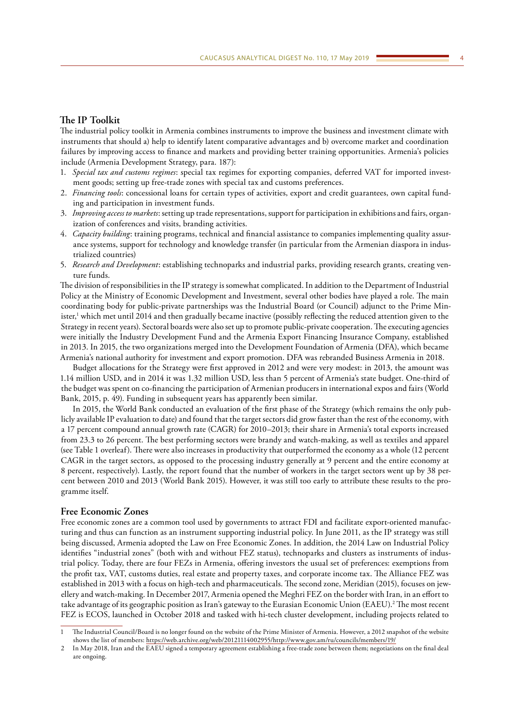## **The IP Toolkit**

The industrial policy toolkit in Armenia combines instruments to improve the business and investment climate with instruments that should a) help to identify latent comparative advantages and b) overcome market and coordination failures by improving access to finance and markets and providing better training opportunities. Armenia's policies include (Armenia Development Strategy, para. 187):

- 1. *Special tax and customs regimes*: special tax regimes for exporting companies, deferred VAT for imported investment goods; setting up free-trade zones with special tax and customs preferences.
- 2. *Financing tools*: concessional loans for certain types of activities, export and credit guarantees, own capital funding and participation in investment funds.
- 3. *Improving access to markets*: setting up trade representations, support for participation in exhibitions and fairs, organization of conferences and visits, branding activities.
- 4. *Capacity building*: training programs, technical and financial assistance to companies implementing quality assurance systems, support for technology and knowledge transfer (in particular from the Armenian diaspora in industrialized countries)
- 5. *Research and Development*: establishing technoparks and industrial parks, providing research grants, creating venture funds.

The division of responsibilities in the IP strategy is somewhat complicated. In addition to the Department of Industrial Policy at the Ministry of Economic Development and Investment, several other bodies have played a role. The main coordinating body for public-private partnerships was the Industrial Board (or Council) adjunct to the Prime Minister,1 which met until 2014 and then gradually became inactive (possibly reflecting the reduced attention given to the Strategy in recent years). Sectoral boards were also set up to promote public-private cooperation. The executing agencies were initially the Industry Development Fund and the Armenia Export Financing Insurance Company, established in 2013. In 2015, the two organizations merged into the Development Foundation of Armenia (DFA), which became Armenia's national authority for investment and export promotion. DFA was rebranded Business Armenia in 2018.

Budget allocations for the Strategy were first approved in 2012 and were very modest: in 2013, the amount was 1.14 million USD, and in 2014 it was 1.32 million USD, less than 5 percent of Armenia's state budget. One-third of the budget was spent on co-financing the participation of Armenian producers in international expos and fairs (World Bank, 2015, p. 49). Funding in subsequent years has apparently been similar.

In 2015, the World Bank conducted an evaluation of the first phase of the Strategy (which remains the only publicly available IP evaluation to date) and found that the target sectors did grow faster than the rest of the economy, with a 17 percent compound annual growth rate (CAGR) for 2010–2013; their share in Armenia's total exports increased from 23.3 to 26 percent. The best performing sectors were brandy and watch-making, as well as textiles and apparel (see Table 1 overleaf). There were also increases in productivity that outperformed the economy as a whole (12 percent CAGR in the target sectors, as opposed to the processing industry generally at 9 percent and the entire economy at 8 percent, respectively). Lastly, the report found that the number of workers in the target sectors went up by 38 percent between 2010 and 2013 (World Bank 2015). However, it was still too early to attribute these results to the programme itself.

## **Free Economic Zones**

Free economic zones are a common tool used by governments to attract FDI and facilitate export-oriented manufacturing and thus can function as an instrument supporting industrial policy. In June 2011, as the IP strategy was still being discussed, Armenia adopted the Law on Free Economic Zones. In addition, the 2014 Law on Industrial Policy identifies "industrial zones" (both with and without FEZ status), technoparks and clusters as instruments of industrial policy. Today, there are four FEZs in Armenia, offering investors the usual set of preferences: exemptions from the profit tax, VAT, customs duties, real estate and property taxes, and corporate income tax. The Alliance FEZ was established in 2013 with a focus on high-tech and pharmaceuticals. The second zone, Meridian (2015), focuses on jewellery and watch-making. In December 2017, Armenia opened the Meghri FEZ on the border with Iran, in an effort to take advantage of its geographic position as Iran's gateway to the Eurasian Economic Union (EAEU).<sup>2</sup> The most recent FEZ is ECOS, launched in October 2018 and tasked with hi-tech cluster development, including projects related to

<sup>1</sup> The Industrial Council/Board is no longer found on the website of the Prime Minister of Armenia. However, a 2012 snapshot of the website shows the list of members: <https://web.archive.org/web/20121114002955/http://www.gov.am/ru/councils/members/19/>

<sup>2</sup> In May 2018, Iran and the EAEU signed a temporary agreement establishing a free-trade zone between them; negotiations on the final deal are ongoing.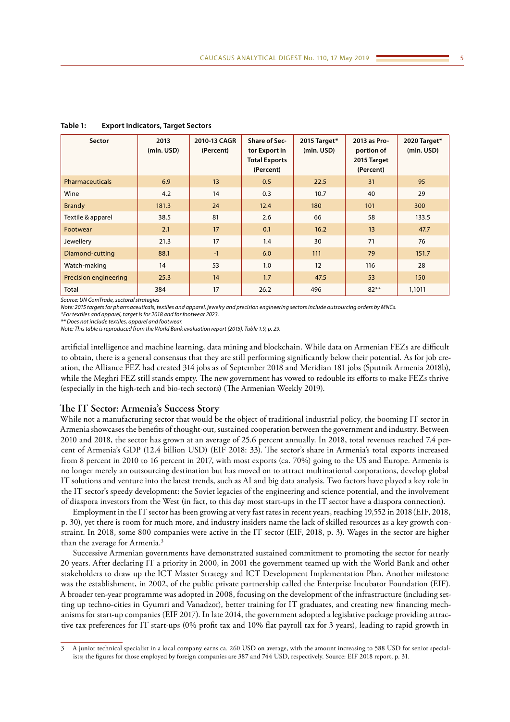| Sector                 | 2013<br>(mln. USD) | 2010-13 CAGR<br>(Percent) | <b>Share of Sec-</b><br>tor Export in<br><b>Total Exports</b><br>(Percent) | 2015 Target*<br>(mln. USD) | 2013 as Pro-<br>portion of<br>2015 Target<br>(Percent) | 2020 Target*<br>(mln. USD) |
|------------------------|--------------------|---------------------------|----------------------------------------------------------------------------|----------------------------|--------------------------------------------------------|----------------------------|
| <b>Pharmaceuticals</b> | 6.9                | 13                        | 0.5                                                                        | 22.5                       | 31                                                     | 95                         |
| Wine                   | 4.2                | 14                        | 0.3                                                                        | 10.7                       | 40                                                     | 29                         |
| <b>Brandy</b>          | 181.3              | 24                        | 12.4                                                                       | 180                        | 101                                                    | 300                        |
| Textile & apparel      | 38.5               | 81                        | 2.6                                                                        | 66                         | 58                                                     | 133.5                      |
| Footwear               | 2.1                | 17                        | 0.1                                                                        | 16.2                       | 13                                                     | 47.7                       |
| Jewellery              | 21.3               | 17                        | 1.4                                                                        | 30                         | 71                                                     | 76                         |
| Diamond-cutting        | 88.1               | $-1$                      | 6.0                                                                        | 111                        | 79                                                     | 151.7                      |
| Watch-making           | 14                 | 53                        | 1.0                                                                        | 12                         | 116                                                    | 28                         |
| Precision engineering  | 25.3               | 14                        | 1.7                                                                        | 47.5                       | 53                                                     | 150                        |
| <b>Total</b>           | 384                | 17                        | 26.2                                                                       | 496                        | $82***$                                                | 1,1011                     |

**Table 1: Export Indicators, Target Sectors**

*Source: UN ComTrade, sectoral strategies*

*Note: 2015 targets for pharmaceuticals, textiles and apparel, jewelry and precision engineering sectors include outsourcing orders by MNCs.*

*\*For textiles and apparel, target is for 2018 and for footwear 2023.*

*\*\* Does not include textiles, apparel and footwear. Note: This table is reproduced from the World Bank evaluation report (2015), Table 1.9, p. 29.*

artificial intelligence and machine learning, data mining and blockchain. While data on Armenian FEZs are difficult to obtain, there is a general consensus that they are still performing significantly below their potential. As for job creation, the Alliance FEZ had created 314 jobs as of September 2018 and Meridian 181 jobs (Sputnik Armenia 2018b), while the Meghri FEZ still stands empty. The new government has vowed to redouble its efforts to make FEZs thrive (especially in the high-tech and bio-tech sectors) (The Armenian Weekly 2019).

# **The IT Sector: Armenia's Success Story**

While not a manufacturing sector that would be the object of traditional industrial policy, the booming IT sector in Armenia showcases the benefits of thought-out, sustained cooperation between the government and industry. Between 2010 and 2018, the sector has grown at an average of 25.6 percent annually. In 2018, total revenues reached 7.4 percent of Armenia's GDP (12.4 billion USD) (EIF 2018: 33). The sector's share in Armenia's total exports increased from 8 percent in 2010 to 16 percent in 2017, with most exports (ca. 70%) going to the US and Europe. Armenia is no longer merely an outsourcing destination but has moved on to attract multinational corporations, develop global IT solutions and venture into the latest trends, such as AI and big data analysis. Two factors have played a key role in the IT sector's speedy development: the Soviet legacies of the engineering and science potential, and the involvement of diaspora investors from the West (in fact, to this day most start-ups in the IT sector have a diaspora connection).

Employment in the IT sector has been growing at very fast rates in recent years, reaching 19,552 in 2018(EIF, 2018, p. 30), yet there is room for much more, and industry insiders name the lack of skilled resources as a key growth constraint. In 2018, some 800 companies were active in the IT sector (EIF, 2018, p. 3). Wages in the sector are higher than the average for Armenia.3

Successive Armenian governments have demonstrated sustained commitment to promoting the sector for nearly 20 years. After declaring IT a priority in 2000, in 2001 the government teamed up with the World Bank and other stakeholders to draw up the ICT Master Strategy and ICT Development Implementation Plan. Another milestone was the establishment, in 2002, of the public private partnership called the Enterprise Incubator Foundation (EIF). A broader ten-year programme was adopted in 2008, focusing on the development of the infrastructure (including setting up techno-cities in Gyumri and Vanadzor), better training for IT graduates, and creating new financing mechanisms for start-up companies (EIF 2017). In late 2014, the government adopted a legislative package providing attractive tax preferences for IT start-ups (0% profit tax and 10% flat payroll tax for 3 years), leading to rapid growth in

<sup>3</sup> A junior technical specialist in a local company earns ca. 260 USD on average, with the amount increasing to 588 USD for senior specialists; the figures for those employed by foreign companies are 387 and 744 USD, respectively. Source: EIF 2018 report, p. 31.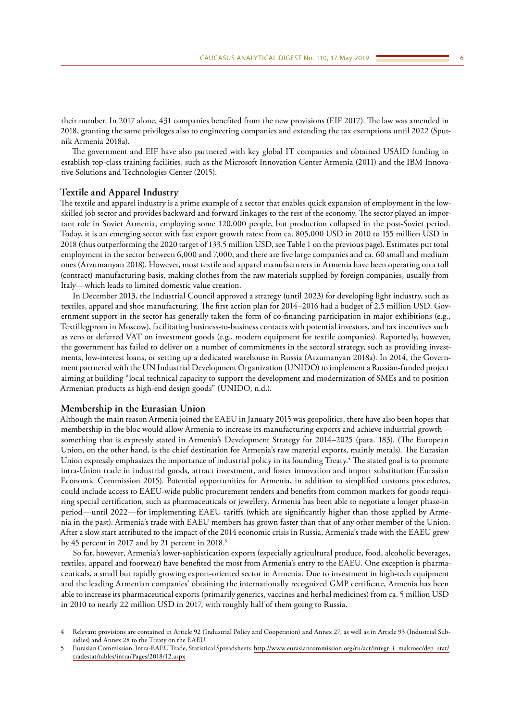their number. In 2017 alone, 431 companies benefited from the new provisions (EIF 2017). The law was amended in 2018, granting the same privileges also to engineering companies and extending the tax exemptions until 2022 (Sputnik Armenia 2018a).

The government and EIF have also partnered with key global IT companies and obtained USAID funding to establish top-class training facilities, such as the Microsoft Innovation Center Armenia (2011) and the IBM Innovative Solutions and Technologies Center (2015).

#### **Textile and Apparel Industry**

The textile and apparel industry is a prime example of a sector that enables quick expansion of employment in the lowskilled job sector and provides backward and forward linkages to the rest of the economy. The sector played an important role in Soviet Armenia, employing some 120,000 people, but production collapsed in the post-Soviet period. Today, it is an emerging sector with fast export growth rates: from ca. 805,000 USD in 2010 to 155 million USD in 2018 (thus outperforming the 2020 target of 133.5 million USD, see Table 1 on the previous page). Estimates put total employment in the sector between 6,000 and 7,000, and there are five large companies and ca. 60 small and medium ones (Arzumanyan 2018). However, most textile and apparel manufacturers in Armenia have been operating on a toll (contract) manufacturing basis, making clothes from the raw materials supplied by foreign companies, usually from Italy—which leads to limited domestic value creation.

In December 2013, the Industrial Council approved a strategy (until 2023) for developing light industry, such as textiles, apparel and shoe manufacturing. The first action plan for 2014–2016 had a budget of 2.5 million USD. Government support in the sector has generally taken the form of co-financing participation in major exhibitions (e.g., Textillegprom in Moscow), facilitating business-to-business contacts with potential investors, and tax incentives such as zero or deferred VAT on investment goods (e.g., modern equipment for textile companies). Reportedly, however, the government has failed to deliver on a number of commitments in the sectoral strategy, such as providing investments, low-interest loans, or setting up a dedicated warehouse in Russia (Arzumanyan 2018a). In 2014, the Government partnered with the UN Industrial Development Organization (UNIDO) to implement a Russian-funded project aiming at building "local technical capacity to support the development and modernization of SMEs and to position Armenian products as high-end design goods" (UNIDO, n.d.).

#### **Membership in the Eurasian Union**

Although the main reason Armenia joined the EAEU in January 2015 was geopolitics, there have also been hopes that membership in the bloc would allow Armenia to increase its manufacturing exports and achieve industrial growth something that is expressly stated in Armenia's Development Strategy for 2014–2025 (para. 183). (The European Union, on the other hand, is the chief destination for Armenia's raw material exports, mainly metals). The Eurasian Union expressly emphasizes the importance of industrial policy in its founding Treaty.4 The stated goal is to promote intra-Union trade in industrial goods, attract investment, and foster innovation and import substitution (Eurasian Economic Commission 2015). Potential opportunities for Armenia, in addition to simplified customs procedures, could include access to EAEU-wide public procurement tenders and benefits from common markets for goods requiring special certification, such as pharmaceuticals or jewellery. Armenia has been able to negotiate a longer phase-in period—until 2022—for implementing EAEU tariffs (which are significantly higher than those applied by Armenia in the past). Armenia's trade with EAEU members has grown faster than that of any other member of the Union. After a slow start attributed to the impact of the 2014 economic crisis in Russia, Armenia's trade with the EAEU grew by 45 percent in 2017 and by 21 percent in 2018.<sup>5</sup>

So far, however, Armenia's lower-sophistication exports (especially agricultural produce, food, alcoholic beverages, textiles, apparel and footwear) have benefited the most from Armenia's entry to the EAEU. One exception is pharmaceuticals, a small but rapidly growing export-oriented sector in Armenia. Due to investment in high-tech equipment and the leading Armenian companies' obtaining the internationally recognized GMP certificate, Armenia has been able to increase its pharmaceutical exports (primarily generics, vaccines and herbal medicines) from ca. 5 million USD in 2010 to nearly 22 million USD in 2017, with roughly half of them going to Russia.

<sup>4</sup> Relevant provisions are contained in Article 92 (Industrial Policy and Cooperation) and Annex 27, as well as in Article 93 (Industrial Subsidies) and Annex 28 to the Treaty on the EAEU.

<sup>5</sup> Eurasian Commission, Intra-EAEU Trade, Statistical Spreadsheets. [http://www.eurasiancommission.org/ru/act/integr\\_i\\_makroec/dep\\_stat/](http://www.eurasiancommission.org/ru/act/integr_i_makroec/dep_stat/tradestat/tables/intra/Pages/2018/12.aspx) [tradestat/tables/intra/Pages/2018/12.aspx](http://www.eurasiancommission.org/ru/act/integr_i_makroec/dep_stat/tradestat/tables/intra/Pages/2018/12.aspx)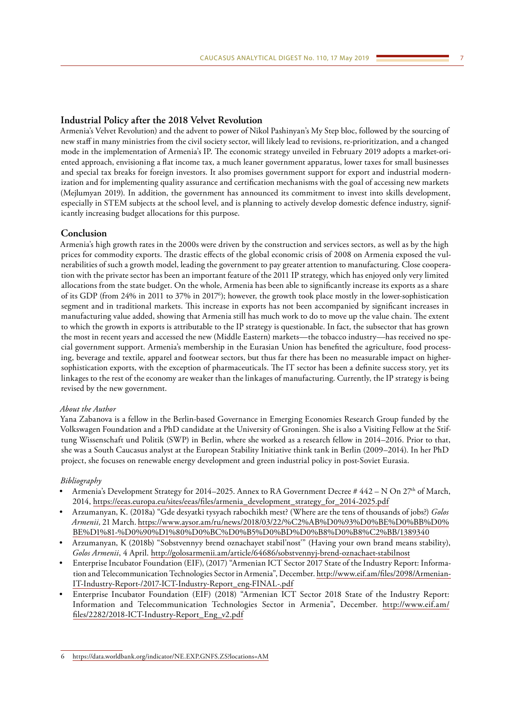# **Industrial Policy after the 2018 Velvet Revolution**

Armenia's Velvet Revolution) and the advent to power of Nikol Pashinyan's My Step bloc, followed by the sourcing of new staff in many ministries from the civil society sector, will likely lead to revisions, re-prioritization, and a changed mode in the implementation of Armenia's IP. The economic strategy unveiled in February 2019 adopts a market-oriented approach, envisioning a flat income tax, a much leaner government apparatus, lower taxes for small businesses and special tax breaks for foreign investors. It also promises government support for export and industrial modernization and for implementing quality assurance and certification mechanisms with the goal of accessing new markets (Mejlumyan 2019). In addition, the government has announced its commitment to invest into skills development, especially in STEM subjects at the school level, and is planning to actively develop domestic defence industry, significantly increasing budget allocations for this purpose.

# **Conclusion**

Armenia's high growth rates in the 2000s were driven by the construction and services sectors, as well as by the high prices for commodity exports. The drastic effects of the global economic crisis of 2008 on Armenia exposed the vulnerabilities of such a growth model, leading the government to pay greater attention to manufacturing. Close cooperation with the private sector has been an important feature of the 2011 IP strategy, which has enjoyed only very limited allocations from the state budget. On the whole, Armenia has been able to significantly increase its exports as a share of its GDP (from 24% in 2011 to 37% in 20176 ); however, the growth took place mostly in the lower-sophistication segment and in traditional markets. This increase in exports has not been accompanied by significant increases in manufacturing value added, showing that Armenia still has much work to do to move up the value chain. The extent to which the growth in exports is attributable to the IP strategy is questionable. In fact, the subsector that has grown the most in recent years and accessed the new (Middle Eastern) markets—the tobacco industry—has received no special government support. Armenia's membership in the Eurasian Union has benefited the agriculture, food processing, beverage and textile, apparel and footwear sectors, but thus far there has been no measurable impact on highersophistication exports, with the exception of pharmaceuticals. The IT sector has been a definite success story, yet its linkages to the rest of the economy are weaker than the linkages of manufacturing. Currently, the IP strategy is being revised by the new government.

## *About the Author*

Yana Zabanova is a fellow in the Berlin-based Governance in Emerging Economies Research Group funded by the Volkswagen Foundation and a PhD candidate at the University of Groningen. She is also a Visiting Fellow at the Stiftung Wissenschaft und Politik (SWP) in Berlin, where she worked as a research fellow in 2014–2016. Prior to that, she was a South Caucasus analyst at the European Stability Initiative think tank in Berlin (2009–2014). In her PhD project, she focuses on renewable energy development and green industrial policy in post-Soviet Eurasia.

#### *Bibliography*

- Armenia's Development Strategy for 2014–2025. Annex to RA Government Decree # 442 N On 27<sup>th</sup> of March, 2014, [https://eeas.europa.eu/sites/eeas/files/armenia\\_development\\_strategy\\_for\\_2014-2025.pdf](https://eeas.europa.eu/sites/eeas/files/armenia_development_strategy_for_2014-2025.pdf)
- Arzumanyan, K. (2018a) "Gde desyatki tysyach rabochikh mest? (Where are the tens of thousands of jobs?) *Golos Armenii,* 21 March. [https://www.aysor.am/ru/news/2018/03/22/%C2%AB%D0%93%D0%BE%D0%BB%D0%](https://www.aysor.am/ru/news/2018/03/22/%C2%AB%D0%93%D0%BE%D0%BB%D0%BE%D1%81-%D0%90%D1%80%D0%BC%D0%B5%D0%BD%D0%B8%D0%B8%C2%BB/1389340) [BE%D1%81-%D0%90%D1%80%D0%BC%D0%B5%D0%BD%D0%B8%D0%B8%C2%BB/1389340](https://www.aysor.am/ru/news/2018/03/22/%C2%AB%D0%93%D0%BE%D0%BB%D0%BE%D1%81-%D0%90%D1%80%D0%BC%D0%B5%D0%BD%D0%B8%D0%B8%C2%BB/1389340)
- Arzumanyan, K (2018b) "Sobstvennyy brend oznachayet stabil'nost'" (Having your own brand means stability), *Golos Armenii*, 4 April.<http://golosarmenii.am/article/64686/sobstvennyj-brend-oznachaet-stabilnost>
- Enterprise Incubator Foundation (EIF), (2017) "Armenian ICT Sector 2017 State of the Industry Report: Information and Telecommunication Technologies Sector in Armenia", December. [http://www.eif.am/files/2098/Armenian-](http://www.eif.am/files/2098/Armenian-IT-Industry-Report-/2017-ICT-Industry-Report_eng-FINAL-.pdf)[IT-Industry-Report-/2017-ICT-Industry-Report\\_eng-FINAL-.pdf](http://www.eif.am/files/2098/Armenian-IT-Industry-Report-/2017-ICT-Industry-Report_eng-FINAL-.pdf)
- Enterprise Incubator Foundation (EIF) (2018) "Armenian ICT Sector 2018 State of the Industry Report: Information and Telecommunication Technologies Sector in Armenia", December. [http://www.eif.am/](http://www.eif.am/files/2282/2018-ICT-Industry-Report_Eng_v2.pdf) [files/2282/2018-ICT-Industry-Report\\_Eng\\_v2.pdf](http://www.eif.am/files/2282/2018-ICT-Industry-Report_Eng_v2.pdf)

<sup>6</sup> <https://data.worldbank.org/indicator/NE.EXP.GNFS.ZS?locations=AM>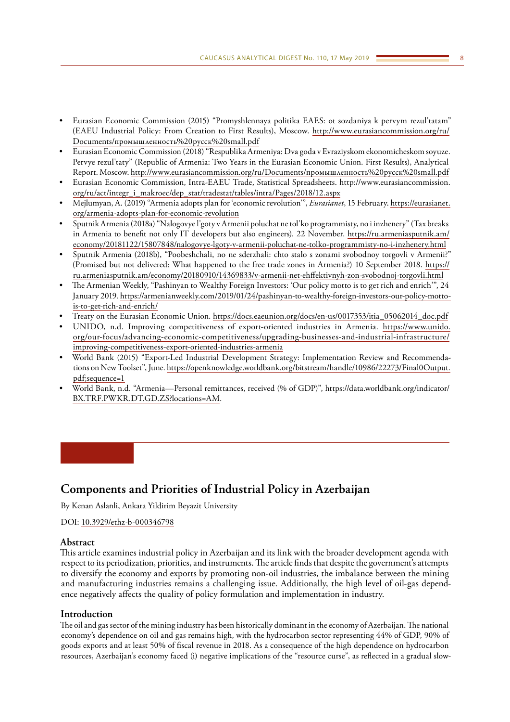- <span id="page-7-0"></span>• Eurasian Economic Commission (2015) "Promyshlennaya politika EAES: ot sozdaniya k pervym rezul'tatam" (EAEU Industrial Policy: From Creation to First Results), Moscow. [http://www.eurasiancommission.org/ru/](http://www.eurasiancommission.org/ru/Documents/ïðîìûøëåííîñòü ðóññê small.pdf) Documents/[промышленность](http://www.eurasiancommission.org/ru/Documents/ïðîìûøëåííîñòü ðóññê small.pdf)%20русск%20small.pdf
- Eurasian Economic Commission (2018) "Respublika Armeniya: Dva goda v Evraziyskom ekonomicheskom soyuze. Pervye rezul'taty" (Republic of Armenia: Two Years in the Eurasian Economic Union. First Results), Analytical Report. Moscow. [http://www.eurasiancommission.org/ru/Documents/](http://www.eurasiancommission.org/ru/Documents/промышленность русск small.pdf)промышленность%20русск%20small.pdf
- Eurasian Economic Commission, Intra-EAEU Trade, Statistical Spreadsheets. [http://www.eurasiancommission.](http://www.eurasiancommission.org/ru/act/integr_i_makroec/dep_stat/tradestat/tables/intra/Pages/2018/12.aspx) [org/ru/act/integr\\_i\\_makroec/dep\\_stat/tradestat/tables/intra/Pages/2018/12.aspx](http://www.eurasiancommission.org/ru/act/integr_i_makroec/dep_stat/tradestat/tables/intra/Pages/2018/12.aspx)
- Mejlumyan, A. (2019) "Armenia adopts plan for 'economic revolution'", *Eurasianet*, 15 February. [https://eurasianet.](https://eurasianet.org/armenia-adopts-plan-for-economic-revolution) [org/armenia-adopts-plan-for-economic-revolution](https://eurasianet.org/armenia-adopts-plan-for-economic-revolution)
- Sputnik Armenia (2018a) "Nalogovye l'goty v Armenii poluchat ne tol'ko programmisty, no i inzhenery" (Tax breaks in Armenia to benefit not only IT developers but also engineers). 22 November. [https://ru.armeniasputnik.am/](https://ru.armeniasputnik.am/economy/20181122/15807848/nalogovye-lgoty-v-armenii-poluchat-ne-tolko-programmisty-no-i-inzhenery.html) [economy/20181122/15807848/nalogovye-lgoty-v-armenii-poluchat-ne-tolko-programmisty-no-i-inzhenery.html](https://ru.armeniasputnik.am/economy/20181122/15807848/nalogovye-lgoty-v-armenii-poluchat-ne-tolko-programmisty-no-i-inzhenery.html)
- Sputnik Armenia (2018b), "Poobeshchali, no ne sderzhali: chto stalo s zonami svobodnoy torgovli v Armenii?" (Promised but not delivered: What happened to the free trade zones in Armenia?) 10 September 2018. [https://](https://ru.armeniasputnik.am/economy/20180910/14369833/v-armenii-net-ehffektivnyh-zon-svobodnoj-torgovli.html) [ru.armeniasputnik.am/economy/20180910/14369833/v-armenii-net-ehffektivnyh-zon-svobodnoj-torgovli.html](https://ru.armeniasputnik.am/economy/20180910/14369833/v-armenii-net-ehffektivnyh-zon-svobodnoj-torgovli.html)
- The Armenian Weekly, "Pashinyan to Wealthy Foreign Investors: 'Our policy motto is to get rich and enrich'", 24 January 2019. [https://armenianweekly.com/2019/01/24/pashinyan-to-wealthy-foreign-investors-our-policy-motto](https://armenianweekly.com/2019/01/24/pashinyan-to-wealthy-foreign-investors-our-policy-motto-is-to-get-rich-and-enrich/)[is-to-get-rich-and-enrich/](https://armenianweekly.com/2019/01/24/pashinyan-to-wealthy-foreign-investors-our-policy-motto-is-to-get-rich-and-enrich/)
- Treaty on the Eurasian Economic Union. [https://docs.eaeunion.org/docs/en-us/0017353/itia\\_05062014\\_doc.pdf](https://docs.eaeunion.org/docs/en-us/0017353/itia_05062014_doc.pdf)
- UNIDO, n.d. Improving competitiveness of export-oriented industries in Armenia. [https://www.unido.](https://www.unido.org/our-focus/advancing-economic-competitiveness/upgrading-businesses-and-industrial-infrastructure/improving-competitiveness-export-oriented-industries-armenia) [org/our-focus/advancing-economic-competitiveness/upgrading-businesses-and-industrial-infrastructure/](https://www.unido.org/our-focus/advancing-economic-competitiveness/upgrading-businesses-and-industrial-infrastructure/improving-competitiveness-export-oriented-industries-armenia) [improving-competitiveness-export-oriented-industries-armenia](https://www.unido.org/our-focus/advancing-economic-competitiveness/upgrading-businesses-and-industrial-infrastructure/improving-competitiveness-export-oriented-industries-armenia)
- World Bank (2015) "Export-Led Industrial Development Strategy: Implementation Review and Recommendations on New Toolset", June. [https://openknowledge.worldbank.org/bitstream/handle/10986/22273/Final0Output.](https://openknowledge.worldbank.org/bitstream/handle/10986/22273/Final0Output.pdf;sequence=1) [pdf;sequence=1](https://openknowledge.worldbank.org/bitstream/handle/10986/22273/Final0Output.pdf;sequence=1)
- World Bank, n.d. "Armenia—Personal remittances, received (% of GDP)", [https://data.worldbank.org/indicator/](https://data.worldbank.org/indicator/BX.TRF.PWKR.DT.GD.ZS?locations=AM) [BX.TRF.PWKR.DT.GD.ZS?locations=AM.](https://data.worldbank.org/indicator/BX.TRF.PWKR.DT.GD.ZS?locations=AM)

# **Components and Priorities of Industrial Policy in Azerbaijan**

By Kenan Aslanli, Ankara Yildirim Beyazit University

DOI: [10.3929/ethz-b-000346798](https://doi.org/10.3929/ethz-b-000346798)

# **Abstract**

This article examines industrial policy in Azerbaijan and its link with the broader development agenda with respect to its periodization, priorities, and instruments. The article finds that despite the government's attempts to diversify the economy and exports by promoting non-oil industries, the imbalance between the mining and manufacturing industries remains a challenging issue. Additionally, the high level of oil-gas dependence negatively affects the quality of policy formulation and implementation in industry.

# **Introduction**

The oil and gas sector of the mining industry has been historically dominant in the economy of Azerbaijan. The national economy's dependence on oil and gas remains high, with the hydrocarbon sector representing 44% of GDP, 90% of goods exports and at least 50% of fiscal revenue in 2018. As a consequence of the high dependence on hydrocarbon resources, Azerbaijan's economy faced (i) negative implications of the "resource curse", as reflected in a gradual slow-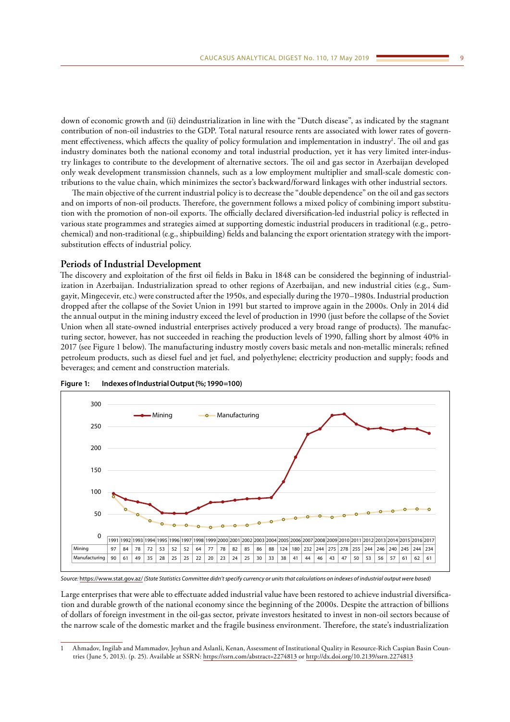down of economic growth and (ii) deindustrialization in line with the "Dutch disease", as indicated by the stagnant contribution of non-oil industries to the GDP. Total natural resource rents are associated with lower rates of government effectiveness, which affects the quality of policy formulation and implementation in industry<sup>1</sup>. The oil and gas industry dominates both the national economy and total industrial production, yet it has very limited inter-industry linkages to contribute to the development of alternative sectors. The oil and gas sector in Azerbaijan developed only weak development transmission channels, such as a low employment multiplier and small-scale domestic contributions to the value chain, which minimizes the sector's backward/forward linkages with other industrial sectors.

The main objective of the current industrial policy is to decrease the "double dependence" on the oil and gas sectors and on imports of non-oil products. Therefore, the government follows a mixed policy of combining import substitution with the promotion of non-oil exports. The officially declared diversification-led industrial policy is reflected in various state programmes and strategies aimed at supporting domestic industrial producers in traditional (e.g., petrochemical) and non-traditional (e.g., shipbuilding) fields and balancing the export orientation strategy with the importsubstitution effects of industrial policy.

# **Periods of Industrial Development**

The discovery and exploitation of the first oil fields in Baku in 1848 can be considered the beginning of industrialization in Azerbaijan. Industrialization spread to other regions of Azerbaijan, and new industrial cities (e.g., Sumgayit, Mingecevir, etc.) were constructed after the 1950s, and especially during the 1970–1980s. Industrial production dropped after the collapse of the Soviet Union in 1991 but started to improve again in the 2000s. Only in 2014 did the annual output in the mining industry exceed the level of production in 1990 (just before the collapse of the Soviet Union when all state-owned industrial enterprises actively produced a very broad range of products). The manufacturing sector, however, has not succeeded in reaching the production levels of 1990, falling short by almost 40% in 2017 (see Figure 1 below). The manufacturing industry mostly covers basic metals and non-metallic minerals; refined petroleum products, such as diesel fuel and jet fuel, and polyethylene; electricity production and supply; foods and beverages; and cement and construction materials.



**Figure 1: Indexes of Industrial Output (%; 1990=100)**

*Source:* <https://www.stat.gov.az/> *(State Statistics Committee didn't specify currency or units that calculations on indexes of industrial output were based)*

Large enterprises that were able to effectuate added industrial value have been restored to achieve industrial diversification and durable growth of the national economy since the beginning of the 2000s. Despite the attraction of billions of dollars of foreign investment in the oil-gas sector, private investors hesitated to invest in non-oil sectors because of the narrow scale of the domestic market and the fragile business environment. Therefore, the state's industrialization

<sup>1</sup> Ahmadov, Ingilab and Mammadov, Jeyhun and Aslanli, Kenan, Assessment of Institutional Quality in Resource-Rich Caspian Basin Countries (June 5, 2013). (p. 25). Available at SSRN:<https://ssrn.com/abstract=2274813>or [http://dx.doi.org/10.2139/ssrn.2274813](https://dx.doi.org/10.2139/ssrn.2274813)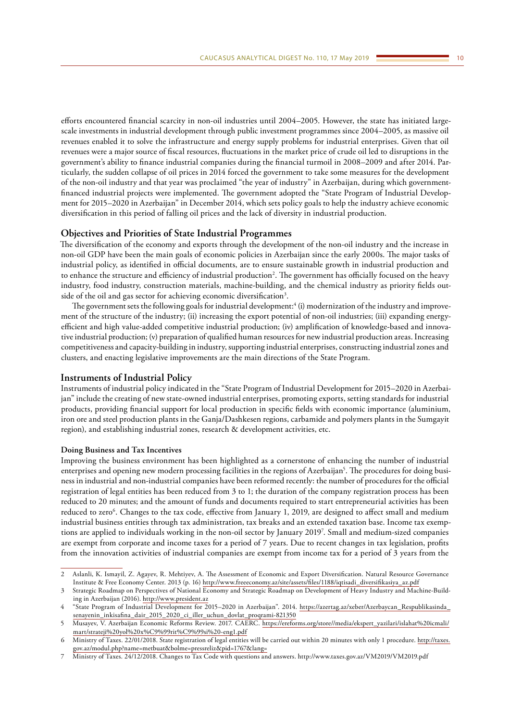efforts encountered financial scarcity in non-oil industries until 2004–2005. However, the state has initiated largescale investments in industrial development through public investment programmes since 2004–2005, as massive oil revenues enabled it to solve the infrastructure and energy supply problems for industrial enterprises. Given that oil revenues were a major source of fiscal resources, fluctuations in the market price of crude oil led to disruptions in the government's ability to finance industrial companies during the financial turmoil in 2008–2009 and after 2014. Particularly, the sudden collapse of oil prices in 2014 forced the government to take some measures for the development of the non-oil industry and that year was proclaimed "the year of industry" in Azerbaijan, during which governmentfinanced industrial projects were implemented. The government adopted the "State Program of Industrial Development for 2015–2020 in Azerbaijan" in December 2014, which sets policy goals to help the industry achieve economic diversification in this period of falling oil prices and the lack of diversity in industrial production.

# **Objectives and Priorities of State Industrial Programmes**

The diversification of the economy and exports through the development of the non-oil industry and the increase in non-oil GDP have been the main goals of economic policies in Azerbaijan since the early 2000s. The major tasks of industrial policy, as identified in official documents, are to ensure sustainable growth in industrial production and to enhance the structure and efficiency of industrial production<sup>2</sup>. The government has officially focused on the heavy industry, food industry, construction materials, machine-building, and the chemical industry as priority fields outside of the oil and gas sector for achieving economic diversification<sup>3</sup>.

The government sets the following goals for industrial development: $^4$  (i) modernization of the industry and improvement of the structure of the industry; (ii) increasing the export potential of non-oil industries; (iii) expanding energyefficient and high value-added competitive industrial production; (iv) amplification of knowledge-based and innovative industrial production; (v) preparation of qualified human resources for new industrial production areas. Increasing competitiveness and capacity-building in industry, supporting industrial enterprises, constructing industrial zones and clusters, and enacting legislative improvements are the main directions of the State Program.

# **Instruments of Industrial Policy**

Instruments of industrial policy indicated in the "State Program of Industrial Development for 2015–2020 in Azerbaijan" include the creating of new state-owned industrial enterprises, promoting exports, setting standards for industrial products, providing financial support for local production in specific fields with economic importance (aluminium, iron ore and steel production plants in the Ganja/Dashkesen regions, carbamide and polymers plants in the Sumgayit region), and establishing industrial zones, research & development activities, etc.

#### **Doing Business and Tax Incentives**

Improving the business environment has been highlighted as a cornerstone of enhancing the number of industrial enterprises and opening new modern processing facilities in the regions of Azerbaijan<sup>5</sup>. The procedures for doing business in industrial and non-industrial companies have been reformed recently: the number of procedures for the official registration of legal entities has been reduced from 3 to 1; the duration of the company registration process has been reduced to 20 minutes; and the amount of funds and documents required to start entrepreneurial activities has been reduced to zero<sup>6</sup>. Changes to the tax code, effective from January 1, 2019, are designed to affect small and medium industrial business entities through tax administration, tax breaks and an extended taxation base. Income tax exemptions are applied to individuals working in the non-oil sector by January 20197 . Small and medium-sized companies are exempt from corporate and income taxes for a period of 7 years. Due to recent changes in tax legislation, profits from the innovation activities of industrial companies are exempt from income tax for a period of 3 years from the

<sup>2</sup> Aslanli, K. Ismayil, Z. Agayev, R. Mehtiyev, A. The Assessment of Economic and Export Diversification. Natural Resource Governance Institute & Free Economy Center. 2013 (p. 16) [http://www.freeeconomy.az/site/assets/files/1188/iqtisadi\\_diversifikasiya\\_az.pdf](http://www.freeeconomy.az/site/assets/files/1188/iqtisadi_diversifikasiya_az.pdf)

<sup>3</sup> Strategic Roadmap on Perspectives of National Economy and Strategic Roadmap on Development of Heavy Industry and Machine-Building in Azerbaijan (2016). <http://www.president.az>

<sup>4</sup> "State Program of Industrial Development for 2015–2020 in Azerbaijan". 2014. [https://azertag.az/xeber/Azerbaycan\\_Respublikasinda\\_](https://azertag.az/xeber/Azerbaycan_Respublikasinda_senayenin_inkisafina_dair_2015_2020_ci_iller_uchun_DOVLAT_PROQRAMI-821350) [senayenin\\_inkisafina\\_dair\\_2015\\_2020\\_ci\\_iller\\_uchun\\_dovlat\\_proqrami-821350](https://azertag.az/xeber/Azerbaycan_Respublikasinda_senayenin_inkisafina_dair_2015_2020_ci_iller_uchun_DOVLAT_PROQRAMI-821350)

<sup>5</sup> Musayev, V. Azerbaijan Economic Reforms Review. 2017. CAERC. [https://ereforms.org/store//media/ekspert\\_yazilari/islahat%20icmali/](https://ereforms.org/store//media/ekspert_yazilari/islahat icmali/mart/strateji yol x%C9%99rit%C9%99si -eng1.pdf) [mart/strateji%20yol%20x%C9%99rit%C9%99si%20-eng1.pdf](https://ereforms.org/store//media/ekspert_yazilari/islahat icmali/mart/strateji yol x%C9%99rit%C9%99si -eng1.pdf)

<sup>6</sup> Ministry of Taxes. 22/01/2018. State registration of legal entities will be carried out within 20 minutes with only 1 procedure. [http://taxes.](http://taxes.gov.az/modul.php?name=metbuat&bolme=pressreliz&pid=1767&lang=) [gov.az/modul.php?name=metbuat&bolme=pressreliz&pid=1767&lang=](http://taxes.gov.az/modul.php?name=metbuat&bolme=pressreliz&pid=1767&lang=)

<sup>7</sup> Ministry of Taxes. 24/12/2018. Changes to Tax Code with questions and answers. http://www.taxes.gov.az/VM2019/VM2019.pdf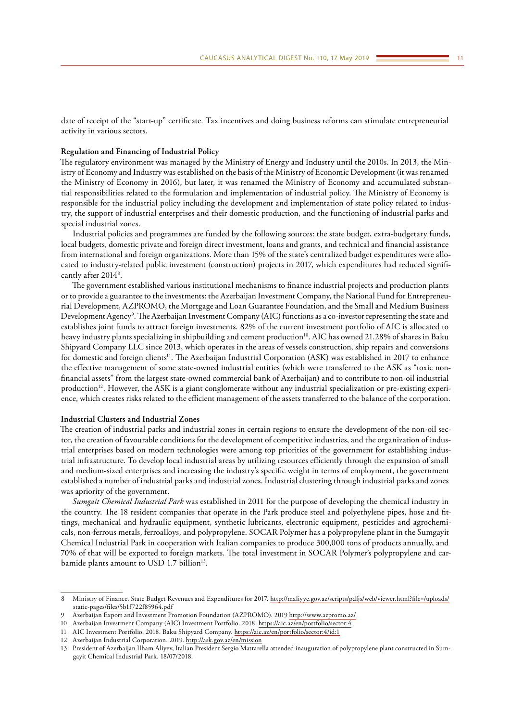date of receipt of the "start-up" certificate. Tax incentives and doing business reforms can stimulate entrepreneurial activity in various sectors.

#### **Regulation and Financing of Industrial Policy**

The regulatory environment was managed by the Ministry of Energy and Industry until the 2010s. In 2013, the Ministry of Economy and Industry was established on the basis of the Ministry of Economic Development (it was renamed the Ministry of Economy in 2016), but later, it was renamed the Ministry of Economy and accumulated substantial responsibilities related to the formulation and implementation of industrial policy. The Ministry of Economy is responsible for the industrial policy including the development and implementation of state policy related to industry, the support of industrial enterprises and their domestic production, and the functioning of industrial parks and special industrial zones.

Industrial policies and programmes are funded by the following sources: the state budget, extra-budgetary funds, local budgets, domestic private and foreign direct investment, loans and grants, and technical and financial assistance from international and foreign organizations. More than 15% of the state's centralized budget expenditures were allocated to industry-related public investment (construction) projects in 2017, which expenditures had reduced significantly after 2014<sup>8</sup>.

The government established various institutional mechanisms to finance industrial projects and production plants or to provide a guarantee to the investments: the Azerbaijan Investment Company, the National Fund for Entrepreneurial Development, AZPROMO, the Mortgage and Loan Guarantee Foundation, and the Small and Medium Business Development Agency9 . The Azerbaijan Investment Company (AIC) functions as a co-investor representing the state and establishes joint funds to attract foreign investments. 82% of the current investment portfolio of AIC is allocated to heavy industry plants specializing in shipbuilding and cement production<sup>10</sup>. AIC has owned 21.28% of shares in Baku Shipyard Company LLC since 2013, which operates in the areas of vessels construction, ship repairs and conversions for domestic and foreign clients<sup>11</sup>. The Azerbaijan Industrial Corporation (ASK) was established in 2017 to enhance the effective management of some state-owned industrial entities (which were transferred to the ASK as "toxic nonfinancial assets" from the largest state-owned commercial bank of Azerbaijan) and to contribute to non-oil industrial production<sup>12</sup>. However, the ASK is a giant conglomerate without any industrial specialization or pre-existing experience, which creates risks related to the efficient management of the assets transferred to the balance of the corporation.

#### **Industrial Clusters and Industrial Zones**

The creation of industrial parks and industrial zones in certain regions to ensure the development of the non-oil sector, the creation of favourable conditions for the development of competitive industries, and the organization of industrial enterprises based on modern technologies were among top priorities of the government for establishing industrial infrastructure. To develop local industrial areas by utilizing resources efficiently through the expansion of small and medium-sized enterprises and increasing the industry's specific weight in terms of employment, the government established a number of industrial parks and industrial zones. Industrial clustering through industrial parks and zones was apriority of the government.

*Sumgait Chemical Industrial Park* was established in 2011 for the purpose of developing the chemical industry in the country. The 18 resident companies that operate in the Park produce steel and polyethylene pipes, hose and fittings, mechanical and hydraulic equipment, synthetic lubricants, electronic equipment, pesticides and agrochemicals, non-ferrous metals, ferroalloys, and polypropylene. SOCAR Polymer has a polypropylene plant in the Sumgayit Chemical Industrial Park in cooperation with Italian companies to produce 300,000 tons of products annually, and 70% of that will be exported to foreign markets. The total investment in SOCAR Polymer's polypropylene and carbamide plants amount to USD 1.7 billion<sup>13</sup>.

<sup>8</sup> Ministry of Finance. State Budget Revenues and Expenditures for 2017. [http://maliyye.gov.az/scripts/pdfjs/web/viewer.html?file=/uploads/](http://maliyye.gov.az/scripts/pdfjs/web/viewer.html?file=/uploads/static-pages/files/5b1f722f85964.pdf) [static-pages/files/5b1f722f85964.pdf](http://maliyye.gov.az/scripts/pdfjs/web/viewer.html?file=/uploads/static-pages/files/5b1f722f85964.pdf)

<sup>9</sup> Azerbaijan Export and Investment Promotion Foundation (AZPROMO). 2019 <http://www.azpromo.az/>

<sup>10</sup> Azerbaijan Investment Company (AIC) Investment Portfolio. 2018. <https://aic.az/en/portfolio/sector:4>

<sup>11</sup> AIC Investment Portfolio. 2018. Baku Shipyard Company. <https://aic.az/en/portfolio/sector:4/id:1>

<sup>12</sup> Azerbaijan Industrial Corporation. 2019.<http://ask.gov.az/en/mission>

<sup>13</sup> President of Azerbaijan Ilham Aliyev, Italian President Sergio Mattarella attended inauguration of polypropylene plant constructed in Sumgayit Chemical Industrial Park. 18/07/2018.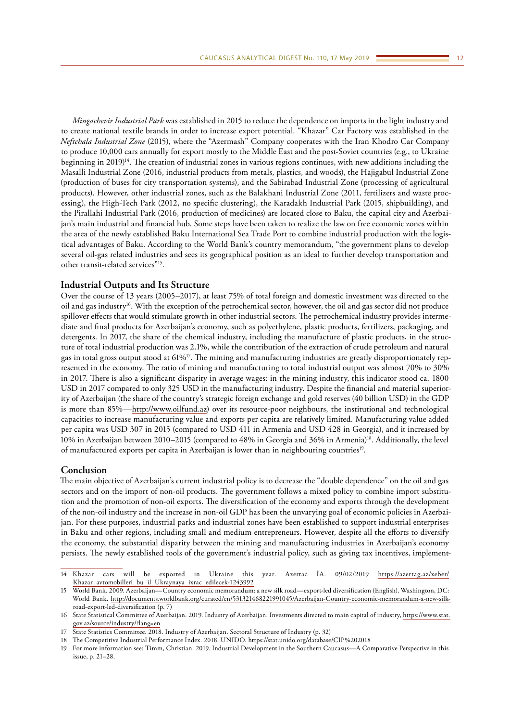*Mingachevir Industrial Park* was established in 2015 to reduce the dependence on imports in the light industry and to create national textile brands in order to increase export potential. "Khazar" Car Factory was established in the *Neftchala Industrial Zone* (2015), where the "Azermash" Company cooperates with the Iran Khodro Car Company to produce 10,000 cars annually for export mostly to the Middle East and the post-Soviet countries (e.g., to Ukraine beginning in 2019)<sup>14</sup>. The creation of industrial zones in various regions continues, with new additions including the Masalli Industrial Zone (2016, industrial products from metals, plastics, and woods), the Hajigabul Industrial Zone (production of buses for city transportation systems), and the Sabirabad Industrial Zone (processing of agricultural products). However, other industrial zones, such as the Balakhani Industrial Zone (2011, fertilizers and waste processing), the High-Tech Park (2012, no specific clustering), the Karadakh Industrial Park (2015, shipbuilding), and the Pirallahi Industrial Park (2016, production of medicines) are located close to Baku, the capital city and Azerbaijan's main industrial and financial hub. Some steps have been taken to realize the law on free economic zones within the area of the newly established Baku International Sea Trade Port to combine industrial production with the logistical advantages of Baku. According to the World Bank's country memorandum, "the government plans to develop several oil-gas related industries and sees its geographical position as an ideal to further develop transportation and other transit-related services"15.

# **Industrial Outputs and Its Structure**

Over the course of 13 years (2005–2017), at least 75% of total foreign and domestic investment was directed to the oil and gas industry16. With the exception of the petrochemical sector, however, the oil and gas sector did not produce spillover effects that would stimulate growth in other industrial sectors. The petrochemical industry provides intermediate and final products for Azerbaijan's economy, such as polyethylene, plastic products, fertilizers, packaging, and detergents. In 2017, the share of the chemical industry, including the manufacture of plastic products, in the structure of total industrial production was 2.1%, while the contribution of the extraction of crude petroleum and natural gas in total gross output stood at 61%17. The mining and manufacturing industries are greatly disproportionately represented in the economy. The ratio of mining and manufacturing to total industrial output was almost 70% to 30% in 2017. There is also a significant disparity in average wages: in the mining industry, this indicator stood ca. 1800 USD in 2017 compared to only 325 USD in the manufacturing industry. Despite the financial and material superiority of Azerbaijan (the share of the country's strategic foreign exchange and gold reserves (40 billion USD) in the GDP is more than 85%—<http://www.oilfund.az>) over its resource-poor neighbours, the institutional and technological capacities to increase manufacturing value and exports per capita are relatively limited. Manufacturing value added per capita was USD 307 in 2015 (compared to USD 411 in Armenia and USD 428 in Georgia), and it increased by 10% in Azerbaijan between 2010–2015 (compared to 48% in Georgia and 36% in Armenia)18. Additionally, the level of manufactured exports per capita in Azerbaijan is lower than in neighbouring countries19.

## **Conclusion**

The main objective of Azerbaijan's current industrial policy is to decrease the "double dependence" on the oil and gas sectors and on the import of non-oil products. The government follows a mixed policy to combine import substitution and the promotion of non-oil exports. The diversification of the economy and exports through the development of the non-oil industry and the increase in non-oil GDP has been the unvarying goal of economic policies in Azerbaijan. For these purposes, industrial parks and industrial zones have been established to support industrial enterprises in Baku and other regions, including small and medium entrepreneurs. However, despite all the efforts to diversify the economy, the substantial disparity between the mining and manufacturing industries in Azerbaijan's economy persists. The newly established tools of the government's industrial policy, such as giving tax incentives, implement-

<sup>14</sup> Khazar cars will be exported in Ukraine this year. Azertac İA. 09/02/2019 [https://azertag.az/xeber/](https://azertag.az/xeber/Khazar_avtomobilleri_bu_il_Ukraynaya_ixrac_edilecek-1243992) [Khazar\\_avtomobilleri\\_bu\\_il\\_Ukraynaya\\_ixrac\\_edilecek-1243992](https://azertag.az/xeber/Khazar_avtomobilleri_bu_il_Ukraynaya_ixrac_edilecek-1243992)

<sup>15</sup> World Bank. 2009. Azerbaijan—Country economic memorandum: a new silk road—export-led diversification (English). Washington, DC: World Bank. [http://documents.worldbank.org/curated/en/531321468221991045/Azerbaijan-Country-economic-memorandum-a-new-silk](http://documents.worldbank.org/curated/en/531321468221991045/Azerbaijan-Country-economic-memorandum-a-new-silk-road-export-led-diversification)[road-export-led-diversification](http://documents.worldbank.org/curated/en/531321468221991045/Azerbaijan-Country-economic-memorandum-a-new-silk-road-export-led-diversification) (p. 7)

<sup>16</sup> State Statistical Committee of Azerbaijan. 2019. Industry of Azerbaijan. Investments directed to main capital of industry, [https://www.stat.](https://www.stat.gov.az/source/industry/?lang=en) [gov.az/source/industry/?lang=en](https://www.stat.gov.az/source/industry/?lang=en)

<sup>17</sup> State Statistics Committee. 2018. Industry of Azerbaijan. Sectoral Structure of Industry (p. 32)

<sup>18</sup> The Competitive Industrial Performance Index. 2018. UNIDO. https://stat.unido.org/database/CIP%202018

<sup>19</sup> For more information see: Timm, Christian. 2019. Industrial Development in the Southern Caucasus—A Comparative Perspective in this issue, p. 21–28.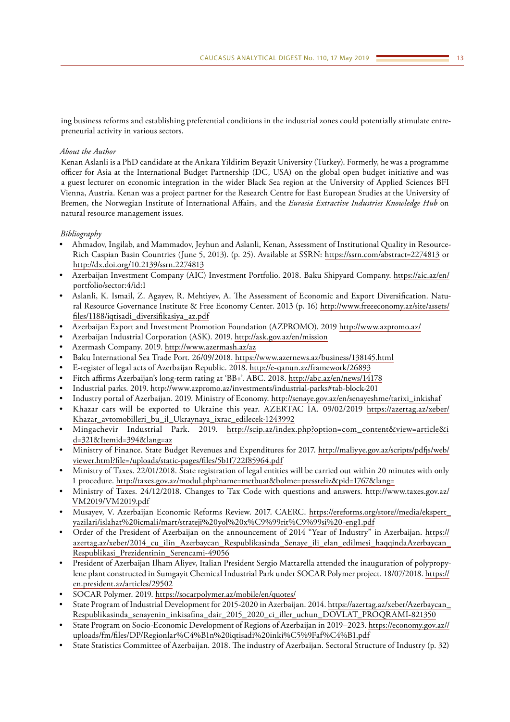ing business reforms and establishing preferential conditions in the industrial zones could potentially stimulate entrepreneurial activity in various sectors.

# *About the Author*

Kenan Aslanli is a PhD candidate at the Ankara Yildirim Beyazit University (Turkey). Formerly, he was a programme officer for Asia at the International Budget Partnership (DC, USA) on the global open budget initiative and was a guest lecturer on economic integration in the wider Black Sea region at the University of Applied Sciences BFI Vienna, Austria. Kenan was a project partner for the Research Centre for East European Studies at the University of Bremen, the Norwegian Institute of International Affairs, and the *Eurasia Extractive Industries Knowledge Hub* on natural resource management issues.

# *Bibliography*

- Ahmadov, Ingilab, and Mammadov, Jeyhun and Aslanli, Kenan, Assessment of Institutional Quality in Resource-Rich Caspian Basin Countries (June 5, 2013). (p. 25). Available at SSRN: <https://ssrn.com/abstract=2274813> or [http://dx.doi.org/10.2139/ssrn.2274813](https://dx.doi.org/10.2139/ssrn.2274813)
- Azerbaijan Investment Company (AIC) Investment Portfolio. 2018. Baku Shipyard Company. [https://aic.az/en/](https://aic.az/en/portfolio/sector:4/id:1) [portfolio/sector:4/id:1](https://aic.az/en/portfolio/sector:4/id:1)
- Aslanli, K. Ismail, Z. Agayev, R. Mehtiyev, A. The Assessment of Economic and Export Diversification. Natural Resource Governance Institute & Free Economy Center. 2013 (p. 16) [http://www.freeeconomy.az/site/assets/](http://www.freeeconomy.az/site/assets/files/1188/iqtisadi_diversifikasiya_az.pdf) [files/1188/iqtisadi\\_diversifikasiya\\_az.pdf](http://www.freeeconomy.az/site/assets/files/1188/iqtisadi_diversifikasiya_az.pdf)
- Azerbaijan Export and Investment Promotion Foundation (AZPROMO). 2019<http://www.azpromo.az/>
- Azerbaijan Industrial Corporation (ASK). 2019.<http://ask.gov.az/en/mission>
- Azermash Company. 2019.<http://www.azermash.az/az>
- Baku International Sea Trade Port. 26/09/2018.<https://www.azernews.az/business/138145.html>
- E-register of legal acts of Azerbaijan Republic. 2018. <http://e-qanun.az/framework/26893>
- Fitch affirms Azerbaijan's long-term rating at 'BB+'. ABC. 2018. <http://abc.az/en/news/14178>
- Industrial parks. 2019. <http://www.azpromo.az/investments/industrial-parks#tab-block-201>
- Industry portal of Azerbaijan. 2019. Ministry of Economy. [http://senaye.gov.az/en/senayeshme/tarixi\\_inkishaf](http://senaye.gov.az/en/senayeshme/tarixi_inkishaf)
- Khazar cars will be exported to Ukraine this year. AZERTAC İA. 09/02/2019 [https://azertag.az/xeber/](https://azertag.az/xeber/Khazar_avtomobilleri_bu_il_Ukraynaya_ixrac_edilecek-1243992) [Khazar\\_avtomobilleri\\_bu\\_il\\_Ukraynaya\\_ixrac\\_edilecek-1243992](https://azertag.az/xeber/Khazar_avtomobilleri_bu_il_Ukraynaya_ixrac_edilecek-1243992)
- Mingachevir Industrial Park. 2019. [http://scip.az/index.php?option=com\\_content&view=article&i](http://scip.az/index.php?option=com_content&view=article&id=321&Itemid=394&lang=az) [d=321&Itemid=394&lang=az](http://scip.az/index.php?option=com_content&view=article&id=321&Itemid=394&lang=az)
- Ministry of Finance. State Budget Revenues and Expenditures for 2017. [http://maliyye.gov.az/scripts/pdfjs/web/](http://maliyye.gov.az/scripts/pdfjs/web/viewer.html?file=/uploads/static-pages/files/5b1f722f85964.pdf) [viewer.html?file=/uploads/static-pages/files/5b1f722f85964.pdf](http://maliyye.gov.az/scripts/pdfjs/web/viewer.html?file=/uploads/static-pages/files/5b1f722f85964.pdf)
- Ministry of Taxes. 22/01/2018. State registration of legal entities will be carried out within 20 minutes with only 1 procedure. <http://taxes.gov.az/modul.php?name=metbuat&bolme=pressreliz&pid=1767&lang=>
- Ministry of Taxes. 24/12/2018. Changes to Tax Code with questions and answers. [http://www.taxes.gov.az/](http://www.taxes.gov.az/VM2019/VM2019.pdf) [VM2019/VM2019.pdf](http://www.taxes.gov.az/VM2019/VM2019.pdf)
- Musayev, V. Azerbaijan Economic Reforms Review. 2017. CAERC. [https://ereforms.org/store//media/ekspert\\_](https://ereforms.org/store//media/ekspert_yazilari/islahat icmali/mart/strateji yol x%C9%99rit%C9%99si -eng1.pdf) [yazilari/islahat%20icmali/mart/strateji%20yol%20x%C9%99rit%C9%99si%20-eng1.pdf](https://ereforms.org/store//media/ekspert_yazilari/islahat icmali/mart/strateji yol x%C9%99rit%C9%99si -eng1.pdf)
- Order of the President of Azerbaijan on the announcement of 2014 "Year of Industry" in Azerbaijan. [https://](https://azertag.az/xeber/2014_cu_ilin_Azerbaycan_Respublikasinda_Senaye_ili_elan_edilmesi_haqqindaAzerbaycan_Respublikasi_Prezidentinin_Serencami-49056) azertag.az/xeber/2014 cu ilin Azerbaycan Respublikasinda Senaye ili elan edilmesi haqqindaAzerbaycan [Respublikasi\\_Prezidentinin\\_Serencami-49056](https://azertag.az/xeber/2014_cu_ilin_Azerbaycan_Respublikasinda_Senaye_ili_elan_edilmesi_haqqindaAzerbaycan_Respublikasi_Prezidentinin_Serencami-49056)
- President of Azerbaijan Ilham Aliyev, Italian President Sergio Mattarella attended the inauguration of polypropylene plant constructed in Sumgayit Chemical Industrial Park under SOCAR Polymer project. 18/07/2018. [https://](https://en.president.az/articles/29502) [en.president.az/articles/29502](https://en.president.az/articles/29502)
- SOCAR Polymer. 2019.<https://socarpolymer.az/mobile/en/quotes/>
- State Program of Industrial Development for 2015-2020 in Azerbaijan. 2014. [https://azertag.az/xeber/Azerbaycan\\_](https://azertag.az/xeber/Azerbaycan_Respublikasinda_senayenin_inkisafina_dair_2015_2020_ci_iller_uchun_DOVLAT_PROQRAMI-821350) [Respublikasinda\\_senayenin\\_inkisafina\\_dair\\_2015\\_2020\\_ci\\_iller\\_uchun\\_DOVLAT\\_PROQRAMI-821350](https://azertag.az/xeber/Azerbaycan_Respublikasinda_senayenin_inkisafina_dair_2015_2020_ci_iller_uchun_DOVLAT_PROQRAMI-821350)
- State Program on Socio-Economic Development of Regions of Azerbaijan in 2019–2023. [https://economy.gov.az//](https://economy.gov.az//uploads/fm/files/DP/Regionlar%C4%B1n iqtisadi inki%C5%9Faf%C4%B1.pdf) [uploads/fm/files/DP/Regionlar%C4%B1n%20iqtisadi%20inki%C5%9Faf%C4%B1.pdf](https://economy.gov.az//uploads/fm/files/DP/Regionlar%C4%B1n iqtisadi inki%C5%9Faf%C4%B1.pdf)
- State Statistics Committee of Azerbaijan. 2018. The industry of Azerbaijan. Sectoral Structure of Industry (p. 32)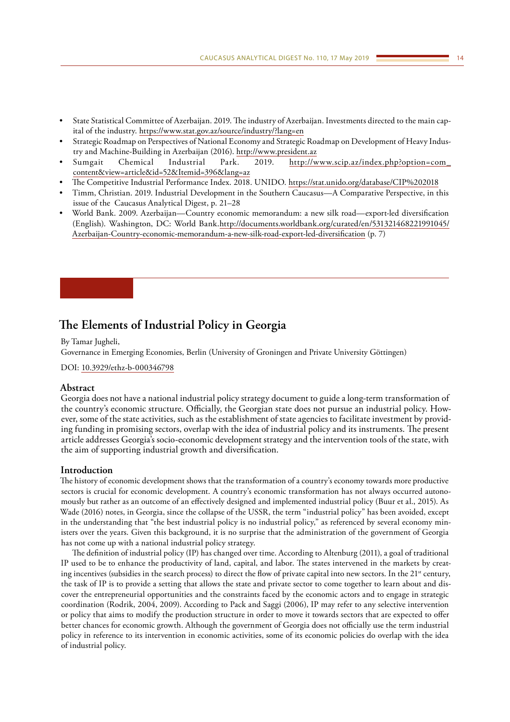- <span id="page-13-0"></span>• State Statistical Committee of Azerbaijan. 2019. The industry of Azerbaijan. Investments directed to the main capital of the industry. <https://www.stat.gov.az/source/industry/?lang=en>
- Strategic Roadmap on Perspectives of National Economy and Strategic Roadmap on Development of Heavy Industry and Machine-Building in Azerbaijan (2016). <http://www.president.az>
- Sumgait Chemical Industrial Park. 2019. [http://www.scip.az/index.php?option=com\\_](http://www.scip.az/index.php?option=com_content&view=article&id=52&Itemid=396&lang=az) [content&view=article&id=52&Itemid=396&lang=az](http://www.scip.az/index.php?option=com_content&view=article&id=52&Itemid=396&lang=az)
- The Competitive Industrial Performance Index. 2018. UNIDO. [https://stat.unido.org/database/CIP%202018](https://stat.unido.org/database/CIP 2018)
- Timm, Christian. 2019. Industrial Development in the Southern Caucasus—A Comparative Perspective, in this issue of the Caucasus Analytical Digest, p. 21–28
- World Bank. 2009. Azerbaijan—Country economic memorandum: a new silk road—export-led diversification (English). Washington, DC: World Bank[.http://documents.worldbank.org/curated/en/531321468221991045/](http://documents.worldbank.org/curated/en/531321468221991045/Azerbaijan-Country-economic-memorandum-a-new-silk-road-export-led-diversification) [Azerbaijan-Country-economic-memorandum-a-new-silk-road-export-led-diversification](http://documents.worldbank.org/curated/en/531321468221991045/Azerbaijan-Country-economic-memorandum-a-new-silk-road-export-led-diversification) (p. 7)

# **The Elements of Industrial Policy in Georgia**

By Tamar Jugheli,

Governance in Emerging Economies, Berlin (University of Groningen and Private University Göttingen)

DOI: [10.3929/ethz-b-000346798](https://doi.org/10.3929/ethz-b-000346798)

# **Abstract**

Georgia does not have a national industrial policy strategy document to guide a long-term transformation of the country's economic structure. Officially, the Georgian state does not pursue an industrial policy. However, some of the state activities, such as the establishment of state agencies to facilitate investment by providing funding in promising sectors, overlap with the idea of industrial policy and its instruments. The present article addresses Georgia's socio-economic development strategy and the intervention tools of the state, with the aim of supporting industrial growth and diversification.

## **Introduction**

The history of economic development shows that the transformation of a country's economy towards more productive sectors is crucial for economic development. A country's economic transformation has not always occurred autonomously but rather as an outcome of an effectively designed and implemented industrial policy (Buur et al., 2015). As Wade (2016) notes, in Georgia, since the collapse of the USSR, the term "industrial policy" has been avoided, except in the understanding that "the best industrial policy is no industrial policy," as referenced by several economy ministers over the years. Given this background, it is no surprise that the administration of the government of Georgia has not come up with a national industrial policy strategy.

The definition of industrial policy (IP) has changed over time. According to Altenburg (2011), a goal of traditional IP used to be to enhance the productivity of land, capital, and labor. The states intervened in the markets by creating incentives (subsidies in the search process) to direct the flow of private capital into new sectors. In the 21<sup>st</sup> century, the task of IP is to provide a setting that allows the state and private sector to come together to learn about and discover the entrepreneurial opportunities and the constraints faced by the economic actors and to engage in strategic coordination (Rodrik, 2004, 2009). According to Pack and Saggi (2006), IP may refer to any selective intervention or policy that aims to modify the production structure in order to move it towards sectors that are expected to offer better chances for economic growth. Although the government of Georgia does not officially use the term industrial policy in reference to its intervention in economic activities, some of its economic policies do overlap with the idea of industrial policy.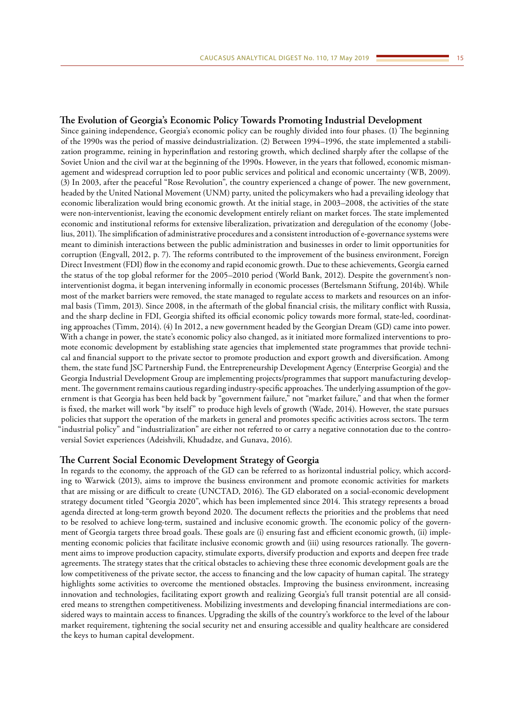### **The Evolution of Georgia's Economic Policy Towards Promoting Industrial Development**

Since gaining independence, Georgia's economic policy can be roughly divided into four phases. (1) The beginning of the 1990s was the period of massive deindustrialization. (2) Between 1994–1996, the state implemented a stabilization programme, reining in hyperinflation and restoring growth, which declined sharply after the collapse of the Soviet Union and the civil war at the beginning of the 1990s. However, in the years that followed, economic mismanagement and widespread corruption led to poor public services and political and economic uncertainty (WB, 2009). (3) In 2003, after the peaceful "Rose Revolution", the country experienced a change of power. The new government, headed by the United National Movement (UNM) party, united the policymakers who had a prevailing ideology that economic liberalization would bring economic growth. At the initial stage, in 2003–2008, the activities of the state were non-interventionist, leaving the economic development entirely reliant on market forces. The state implemented economic and institutional reforms for extensive liberalization, privatization and deregulation of the economy (Jobelius, 2011). The simplification of administrative procedures and a consistent introduction of e-governance systems were meant to diminish interactions between the public administration and businesses in order to limit opportunities for corruption (Engvall, 2012, p. 7). The reforms contributed to the improvement of the business environment, Foreign Direct Investment (FDI) flow in the economy and rapid economic growth. Due to these achievements, Georgia earned the status of the top global reformer for the 2005–2010 period (World Bank, 2012). Despite the government's noninterventionist dogma, it began intervening informally in economic processes (Bertelsmann Stiftung, 2014b). While most of the market barriers were removed, the state managed to regulate access to markets and resources on an informal basis (Timm, 2013). Since 2008, in the aftermath of the global financial crisis, the military conflict with Russia, and the sharp decline in FDI, Georgia shifted its official economic policy towards more formal, state-led, coordinating approaches (Timm, 2014). (4) In 2012, a new government headed by the Georgian Dream (GD) came into power. With a change in power, the state's economic policy also changed, as it initiated more formalized interventions to promote economic development by establishing state agencies that implemented state programmes that provide technical and financial support to the private sector to promote production and export growth and diversification. Among them, the state fund JSC Partnership Fund, the Entrepreneurship Development Agency (Enterprise Georgia) and the Georgia Industrial Development Group are implementing projects/programmes that support manufacturing development. The government remains cautious regarding industry-specific approaches. The underlying assumption of the government is that Georgia has been held back by "government failure," not "market failure," and that when the former is fixed, the market will work "by itself" to produce high levels of growth (Wade, 2014). However, the state pursues policies that support the operation of the markets in general and promotes specific activities across sectors. The term "industrial policy" and "industrialization" are either not referred to or carry a negative connotation due to the controversial Soviet experiences (Adeishvili, Khudadze, and Gunava, 2016).

### **The Current Social Economic Development Strategy of Georgia**

In regards to the economy, the approach of the GD can be referred to as horizontal industrial policy, which according to Warwick (2013), aims to improve the business environment and promote economic activities for markets that are missing or are difficult to create (UNCTAD, 2016). The GD elaborated on a social-economic development strategy document titled "Georgia 2020", which has been implemented since 2014. This strategy represents a broad agenda directed at long-term growth beyond 2020. The document reflects the priorities and the problems that need to be resolved to achieve long-term, sustained and inclusive economic growth. The economic policy of the government of Georgia targets three broad goals. These goals are (i) ensuring fast and efficient economic growth, (ii) implementing economic policies that facilitate inclusive economic growth and (iii) using resources rationally. The government aims to improve production capacity, stimulate exports, diversify production and exports and deepen free trade agreements. The strategy states that the critical obstacles to achieving these three economic development goals are the low competitiveness of the private sector, the access to financing and the low capacity of human capital. The strategy highlights some activities to overcome the mentioned obstacles. Improving the business environment, increasing innovation and technologies, facilitating export growth and realizing Georgia's full transit potential are all considered means to strengthen competitiveness. Mobilizing investments and developing financial intermediations are considered ways to maintain access to finances. Upgrading the skills of the country's workforce to the level of the labour market requirement, tightening the social security net and ensuring accessible and quality healthcare are considered the keys to human capital development.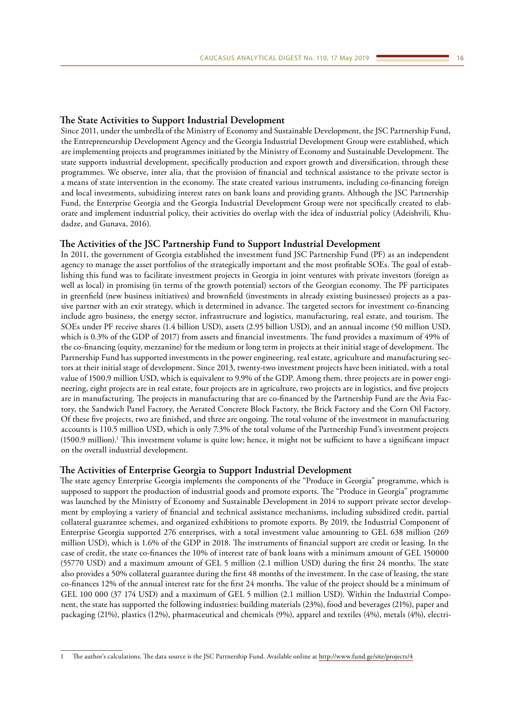#### **The State Activities to Support Industrial Development**

Since 2011, under the umbrella of the Ministry of Economy and Sustainable Development, the JSC Partnership Fund, the Entrepreneurship Development Agency and the Georgia Industrial Development Group were established, which are implementing projects and programmes initiated by the Ministry of Economy and Sustainable Development. The state supports industrial development, specifically production and export growth and diversification, through these programmes. We observe, inter alia, that the provision of financial and technical assistance to the private sector is a means of state intervention in the economy. The state created various instruments, including co-financing foreign and local investments, subsidizing interest rates on bank loans and providing grants. Although the JSC Partnership Fund, the Enterprise Georgia and the Georgia Industrial Development Group were not specifically created to elaborate and implement industrial policy, their activities do overlap with the idea of industrial policy (Adeishvili, Khudadze, and Gunava, 2016).

# **The Activities of the JSC Partnership Fund to Support Industrial Development**

In 2011, the government of Georgia established the investment fund JSC Partnership Fund (PF) as an independent agency to manage the asset portfolios of the strategically important and the most profitable SOEs. The goal of establishing this fund was to facilitate investment projects in Georgia in joint ventures with private investors (foreign as well as local) in promising (in terms of the growth potential) sectors of the Georgian economy. The PF participates in greenfield (new business initiatives) and brownfield (investments in already existing businesses) projects as a passive partner with an exit strategy, which is determined in advance. The targeted sectors for investment co-financing include agro business, the energy sector, infrastructure and logistics, manufacturing, real estate, and tourism. The SOEs under PF receive shares (1.4 billion USD), assets (2.95 billion USD), and an annual income (50 million USD, which is 0.3% of the GDP of 2017) from assets and financial investments. The fund provides a maximum of 49% of the co-financing (equity, mezzanine) for the medium or long term in projects at their initial stage of development. The Partnership Fund has supported investments in the power engineering, real estate, agriculture and manufacturing sectors at their initial stage of development. Since 2013, twenty-two investment projects have been initiated, with a total value of 1500.9 million USD, which is equivalent to 9.9% of the GDP. Among them, three projects are in power engineering, eight projects are in real estate, four projects are in agriculture, two projects are in logistics, and five projects are in manufacturing. The projects in manufacturing that are co-financed by the Partnership Fund are the Avia Factory, the Sandwich Panel Factory, the Aerated Concrete Block Factory, the Brick Factory and the Corn Oil Factory. Of these five projects, two are finished, and three are ongoing. The total volume of the investment in manufacturing accounts is 110.5 million USD, which is only 7.3% of the total volume of the Partnership Fund's investment projects (1500.9 million).<sup>1</sup> This investment volume is quite low; hence, it might not be sufficient to have a significant impact on the overall industrial development.

#### **The Activities of Enterprise Georgia to Support Industrial Development**

The state agency Enterprise Georgia implements the components of the "Produce in Georgia" programme, which is supposed to support the production of industrial goods and promote exports. The "Produce in Georgia" programme was launched by the Ministry of Economy and Sustainable Development in 2014 to support private sector development by employing a variety of financial and technical assistance mechanisms, including subsidized credit, partial collateral guarantee schemes, and organized exhibitions to promote exports. By 2019, the Industrial Component of Enterprise Georgia supported 276 enterprises, with a total investment value amounting to GEL 638 million (269 million USD), which is 1.6% of the GDP in 2018. The instruments of financial support are credit or leasing. In the case of credit, the state co-finances the 10% of interest rate of bank loans with a minimum amount of GEL 150000 (55770 USD) and a maximum amount of GEL 5 million (2.1 million USD) during the first 24 months. The state also provides a 50% collateral guarantee during the first 48 months of the investment. In the case of leasing, the state co-finances 12% of the annual interest rate for the first 24 months. The value of the project should be a minimum of GEL 100 000 (37 174 USD) and a maximum of GEL 5 million (2.1 million USD). Within the Industrial Component, the state has supported the following industries: building materials (23%), food and beverages (21%), paper and packaging (21%), plastics (12%), pharmaceutical and chemicals (9%), apparel and textiles (4%), metals (4%), electri-

<sup>1</sup> The author's calculations. The data source is the JSC Partnership Fund. Available online at<http://www.fund.ge/site/projects/4>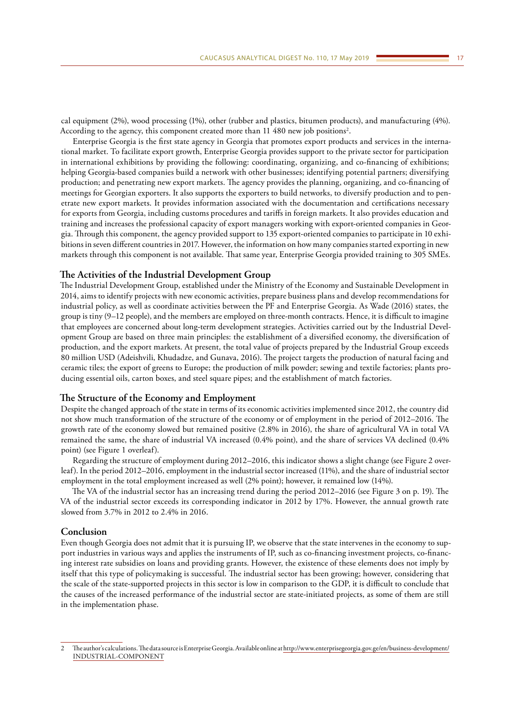cal equipment (2%), wood processing (1%), other (rubber and plastics, bitumen products), and manufacturing (4%). According to the agency, this component created more than  $11\ 480$  new job positions $^2.$ 

Enterprise Georgia is the first state agency in Georgia that promotes export products and services in the international market. To facilitate export growth, Enterprise Georgia provides support to the private sector for participation in international exhibitions by providing the following: coordinating, organizing, and co-financing of exhibitions; helping Georgia-based companies build a network with other businesses; identifying potential partners; diversifying production; and penetrating new export markets. The agency provides the planning, organizing, and co-financing of meetings for Georgian exporters. It also supports the exporters to build networks, to diversify production and to penetrate new export markets. It provides information associated with the documentation and certifications necessary for exports from Georgia, including customs procedures and tariffs in foreign markets. It also provides education and training and increases the professional capacity of export managers working with export-oriented companies in Georgia. Through this component, the agency provided support to 135 export-oriented companies to participate in 10 exhibitions in seven different countries in 2017. However, the information on how many companies started exporting in new markets through this component is not available. That same year, Enterprise Georgia provided training to 305 SMEs.

## **The Activities of the Industrial Development Group**

The Industrial Development Group, established under the Ministry of the Economy and Sustainable Development in 2014, aims to identify projects with new economic activities, prepare business plans and develop recommendations for industrial policy, as well as coordinate activities between the PF and Enterprise Georgia. As Wade (2016) states, the group is tiny (9–12 people), and the members are employed on three-month contracts. Hence, it is difficult to imagine that employees are concerned about long-term development strategies. Activities carried out by the Industrial Development Group are based on three main principles: the establishment of a diversified economy, the diversification of production, and the export markets. At present, the total value of projects prepared by the Industrial Group exceeds 80 million USD (Adeishvili, Khudadze, and Gunava, 2016). The project targets the production of natural facing and ceramic tiles; the export of greens to Europe; the production of milk powder; sewing and textile factories; plants producing essential oils, carton boxes, and steel square pipes; and the establishment of match factories.

# **The Structure of the Economy and Employment**

Despite the changed approach of the state in terms of its economic activities implemented since 2012, the country did not show much transformation of the structure of the economy or of employment in the period of 2012–2016. The growth rate of the economy slowed but remained positive (2.8% in 2016), the share of agricultural VA in total VA remained the same, the share of industrial VA increased (0.4% point), and the share of services VA declined (0.4% point) (see Figure 1 overleaf).

Regarding the structure of employment during 2012–2016, this indicator shows a slight change (see Figure 2 overleaf). In the period 2012–2016, employment in the industrial sector increased (11%), and the share of industrial sector employment in the total employment increased as well (2% point); however, it remained low (14%).

The VA of the industrial sector has an increasing trend during the period 2012–2016 (see Figure 3 on p. 19). The VA of the industrial sector exceeds its corresponding indicator in 2012 by 17%. However, the annual growth rate slowed from 3.7% in 2012 to 2.4% in 2016.

# **Conclusion**

Even though Georgia does not admit that it is pursuing IP, we observe that the state intervenes in the economy to support industries in various ways and applies the instruments of IP, such as co-financing investment projects, co-financing interest rate subsidies on loans and providing grants. However, the existence of these elements does not imply by itself that this type of policymaking is successful. The industrial sector has been growing; however, considering that the scale of the state-supported projects in this sector is low in comparison to the GDP, it is difficult to conclude that the causes of the increased performance of the industrial sector are state-initiated projects, as some of them are still in the implementation phase.

<sup>2</sup> The author's calculations. The data source is Enterprise Georgia. Available online at [http://www.enterprisegeorgia.gov.ge/en/business-development/](http://www.enterprisegeorgia.gov.ge/en/business-development/INDUSTRIAL-COMPONENT) [INDUSTRIAL-COMPONENT](http://www.enterprisegeorgia.gov.ge/en/business-development/INDUSTRIAL-COMPONENT)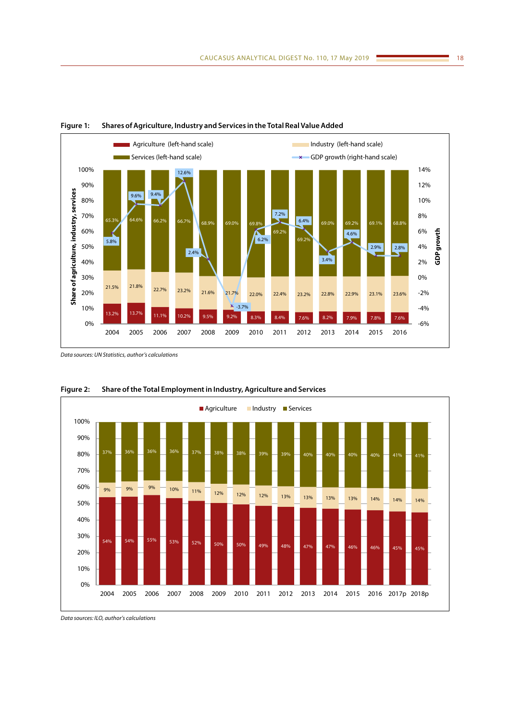

**Figure 1: Shares of Agriculture, Industry and Services in the Total Real Value Added**

*Data sources: UN Statistics, author's calculations*



**Figure 2: Share of the Total Employment in Industry, Agriculture and Services**

*Data sources: ILO, author's calculations*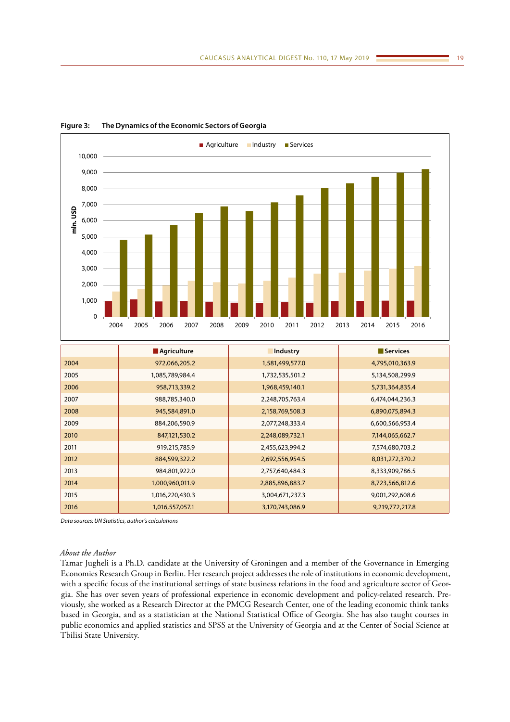



|      | <b>Agriculture</b> | Industry        | <b>Services</b> |
|------|--------------------|-----------------|-----------------|
| 2004 | 972,066,205.2      | 1,581,499,577.0 | 4,795,010,363.9 |
| 2005 | 1,085,789,984.4    | 1,732,535,501.2 | 5,134,508,299.9 |
| 2006 | 958,713,339.2      | 1,968,459,140.1 | 5,731,364,835.4 |
| 2007 | 988,785,340.0      | 2,248,705,763.4 | 6,474,044,236.3 |
| 2008 | 945,584,891.0      | 2,158,769,508.3 | 6,890,075,894.3 |
| 2009 | 884,206,590.9      | 2,077,248,333.4 | 6,600,566,953.4 |
| 2010 | 847,121,530.2      | 2,248,089,732.1 | 7,144,065,662.7 |
| 2011 | 919,215,785.9      | 2,455,623,994.2 | 7,574,680,703.2 |
| 2012 | 884,599,322.2      | 2,692,556,954.5 | 8,031,272,370.2 |
| 2013 | 984,801,922.0      | 2,757,640,484.3 | 8,333,909,786.5 |
| 2014 | 1,000,960,011.9    | 2,885,896,883.7 | 8,723,566,812.6 |
| 2015 | 1,016,220,430.3    | 3,004,671,237.3 | 9,001,292,608.6 |
| 2016 | 1,016,557,057.1    | 3,170,743,086.9 | 9,219,772,217.8 |

*Data sources: UN Statistics, author's calculations*

#### *About the Author*

Tamar Jugheli is a Ph.D. candidate at the University of Groningen and a member of the Governance in Emerging Economies Research Group in Berlin. Her research project addresses the role of institutions in economic development, with a specific focus of the institutional settings of state business relations in the food and agriculture sector of Georgia. She has over seven years of professional experience in economic development and policy-related research. Previously, she worked as a Research Director at the PMCG Research Center, one of the leading economic think tanks based in Georgia, and as a statistician at the National Statistical Office of Georgia. She has also taught courses in public economics and applied statistics and SPSS at the University of Georgia and at the Center of Social Science at Tbilisi State University.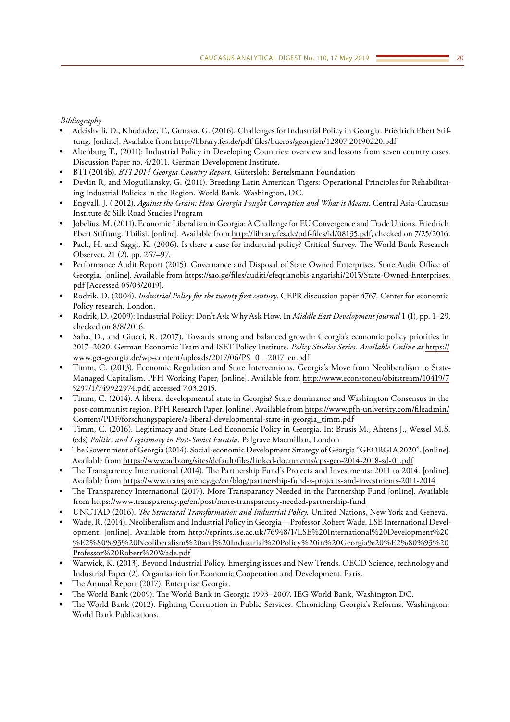# *Bibliography*

- Adeishvili, D., Khudadze, T., Gunava, G. (2016). Challenges for Industrial Policy in Georgia. Friedrich Ebert Stiftung. [online]. Available from<http://library.fes.de/pdf-files/bueros/georgien/12807-20190220.pdf>
- Altenburg T., (2011): Industrial Policy in Developing Countries: overview and lessons from seven country cases. Discussion Paper no. 4/2011. German Development Institute.
- BTI (2014b). *BTI 2014 Georgia Country Report*. Gütersloh: Bertelsmann Foundation
- Devlin R, and Moguillansky, G. (2011). Breeding Latin American Tigers: Operational Principles for Rehabilitating Industrial Policies in the Region. World Bank. Washington, DC.
- Engvall, J. ( 2012). *Against the Grain: How Georgia Fought Corruption and What it Means.* Central Asia-Caucasus Institute & Silk Road Studies Program
- Jobelius, M. (2011). Economic Liberalism in Georgia: A Challenge for EU Convergence and Trade Unions. Friedrich Ebert Stiftung. Tbilisi. [online]. Available from<http://library.fes.de/pdf-files/id/08135.pdf>, checked on 7/25/2016.
- Pack, H. and Saggi, K. (2006). Is there a case for industrial policy? Critical Survey. The World Bank Research Observer, 21 (2), pp. 267–97.
- Performance Audit Report (2015). Governance and Disposal of State Owned Enterprises. State Audit Office of Georgia. [online]. Available from [https://sao.ge/files/auditi/efeqtianobis-angarishi/2015/State-Owned-Enterprises.](https://sao.ge/files/auditi/efeqtianobis-angarishi/2015/State-Owned-Enterprises.pdf) [pdf](https://sao.ge/files/auditi/efeqtianobis-angarishi/2015/State-Owned-Enterprises.pdf) [Accessed 05/03/2019].
- Rodrik, D. (2004). *Industrial Policy for the twenty first century*. CEPR discussion paper 4767. Center for economic Policy research. London.
- Rodrik, D. (2009): Industrial Policy: Don't Ask Why Ask How. In *Middle East Development journal* 1 (1), pp. 1–29, checked on 8/8/2016.
- Saha, D., and Giucci, R. (2017). Towards strong and balanced growth: Georgia's economic policy priorities in 2017–2020. German Economic Team and ISET Policy Institute. *Policy Studies Series. Available Online at* [https://](https://www.get-georgia.de/wp-content/uploads/2017/06/PS_01_2017_en.pdf) [www.get-georgia.de/wp-content/uploads/2017/06/PS\\_01\\_2017\\_en.pdf](https://www.get-georgia.de/wp-content/uploads/2017/06/PS_01_2017_en.pdf)
- Timm, C. (2013). Economic Regulation and State Interventions. Georgia's Move from Neoliberalism to State-Managed Capitalism. PFH Working Paper, [online]. Available from [http://www.econstor.eu/obitstream/10419/7](http://www.econstor.eu/obitstream/10419/75297/1/749922974.pdf) [5297/1/749922974.pdf](http://www.econstor.eu/obitstream/10419/75297/1/749922974.pdf), accessed 7.03.2015.
- Timm, C. (2014). A liberal developmental state in Georgia? State dominance and Washington Consensus in the post-communist region. PFH Research Paper. [online]. Available from [https://www.pfh-university.com/fileadmin/](https://www.pfh-university.com/fileadmin/Content/PDF/forschungspapiere/a-liberal-developmental-state-in-georgia_timm.pdf) [Content/PDF/forschungspapiere/a-liberal-developmental-state-in-georgia\\_timm.pdf](https://www.pfh-university.com/fileadmin/Content/PDF/forschungspapiere/a-liberal-developmental-state-in-georgia_timm.pdf)
- Timm, C. (2016). Legitimacy and State-Led Economic Policy in Georgia. In: Brusis M., Ahrens J., Wessel M.S. (eds) *Politics and Legitimacy in Post-Soviet Eurasia*. Palgrave Macmillan, London
- The Government of Georgia (2014). Social-economic Development Strategy of Georgia "GEORGIA 2020". [online]. Available from <https://www.adb.org/sites/default/files/linked-documents/cps-geo-2014-2018-sd-01.pdf>
- The Transparency International (2014). The Partnership Fund's Projects and Investments: 2011 to 2014. [online]. Available from <https://www.transparency.ge/en/blog/partnership-fund-s-projects-and-investments-2011-2014>
- The Transparency International (2017). More Transparancy Needed in the Partnership Fund [online]. Available from <https://www.transparency.ge/en/post/more-transparency-needed-partnership-fund>
- UNCTAD (2016). *The Structural Transformation and Industrial Policy.* Uniited Nations, New York and Geneva.
- Wade, R. (2014). Neoliberalism and Industrial Policy in Georgia—Professor Robert Wade. LSE International Development. [online]. Available from [http://eprints.lse.ac.uk/76948/1/LSE%20International%20Development%20](http://eprints.lse.ac.uk/76948/1/LSE%20International%20Development%20%E2%80%93%20Neoliberalism%20and%20Industrial%20Policy%20in%20Georgia%20%E2%80%93%20Professor%20Robert%20Wade.pdf) [%E2%80%93%20Neoliberalism%20and%20Industrial%20Policy%20in%20Georgia%20%E2%80%93%20](http://eprints.lse.ac.uk/76948/1/LSE%20International%20Development%20%E2%80%93%20Neoliberalism%20and%20Industrial%20Policy%20in%20Georgia%20%E2%80%93%20Professor%20Robert%20Wade.pdf) [Professor%20Robert%20Wade.pdf](http://eprints.lse.ac.uk/76948/1/LSE%20International%20Development%20%E2%80%93%20Neoliberalism%20and%20Industrial%20Policy%20in%20Georgia%20%E2%80%93%20Professor%20Robert%20Wade.pdf)
- Warwick, K. (2013). Beyond Industrial Policy. Emerging issues and New Trends. OECD Science, technology and Industrial Paper (2). Organisation for Economic Cooperation and Development. Paris.
- The Annual Report (2017). Enterprise Georgia.
- The World Bank (2009). The World Bank in Georgia 1993–2007. IEG World Bank, Washington DC.
- The World Bank (2012). Fighting Corruption in Public Services. Chronicling Georgia's Reforms. Washington: World Bank Publications.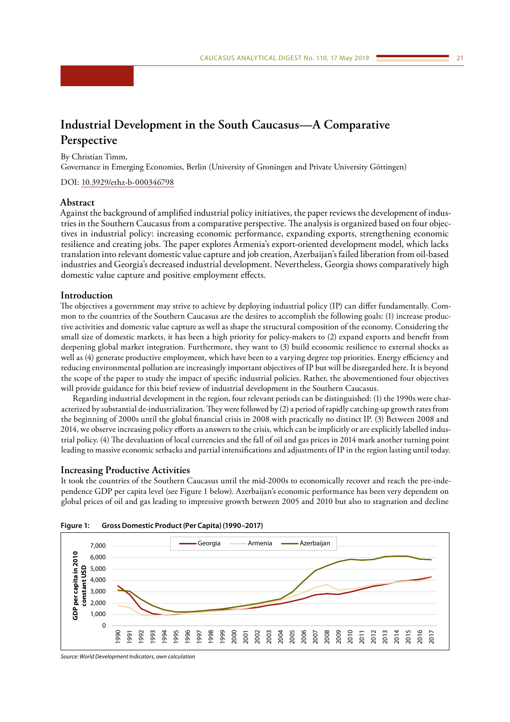# <span id="page-20-0"></span>**Industrial Development in the South Caucasus—A Comparative Perspective**

By Christian Timm,

Governance in Emerging Economies, Berlin (University of Groningen and Private University Göttingen)

DOI: [10.3929/ethz-b-000346798](https://doi.org/10.3929/ethz-b-000346798)

## **Abstract**

Against the background of amplified industrial policy initiatives, the paper reviews the development of industries in the Southern Caucasus from a comparative perspective. The analysis is organized based on four objectives in industrial policy: increasing economic performance, expanding exports, strengthening economic resilience and creating jobs. The paper explores Armenia's export-oriented development model, which lacks translation into relevant domestic value capture and job creation, Azerbaijan's failed liberation from oil-based industries and Georgia's decreased industrial development. Nevertheless, Georgia shows comparatively high domestic value capture and positive employment effects.

# **Introduction**

The objectives a government may strive to achieve by deploying industrial policy (IP) can differ fundamentally. Common to the countries of the Southern Caucasus are the desires to accomplish the following goals: (1) increase productive activities and domestic value capture as well as shape the structural composition of the economy. Considering the small size of domestic markets, it has been a high priority for policy-makers to (2) expand exports and benefit from deepening global market integration. Furthermore, they want to (3) build economic resilience to external shocks as well as (4) generate productive employment, which have been to a varying degree top priorities. Energy efficiency and reducing environmental pollution are increasingly important objectives of IP but will be disregarded here. It is beyond the scope of the paper to study the impact of specific industrial policies. Rather, the abovementioned four objectives will provide guidance for this brief review of industrial development in the Southern Caucasus.

Regarding industrial development in the region, four relevant periods can be distinguished: (1) the 1990s were characterized by substantial de-industrialization. They were followed by (2) a period of rapidly catching-up growth rates from the beginning of 2000s until the global financial crisis in 2008 with practically no distinct IP. (3) Between 2008 and 2014, we observe increasing policy efforts as answers to the crisis, which can be implicitly or are explicitly labelled industrial policy. (4) The devaluation of local currencies and the fall of oil and gas prices in 2014 mark another turning point leading to massive economic setbacks and partial intensifications and adjustments of IP in the region lasting until today.

#### **Increasing Productive Activities**

It took the countries of the Southern Caucasus until the mid-2000s to economically recover and reach the pre-independence GDP per capita level (see Figure 1 below). Azerbaijan's economic performance has been very dependent on global prices of oil and gas leading to impressive growth between 2005 and 2010 but also to stagnation and decline





*Source: World Development Indicators, own calculation*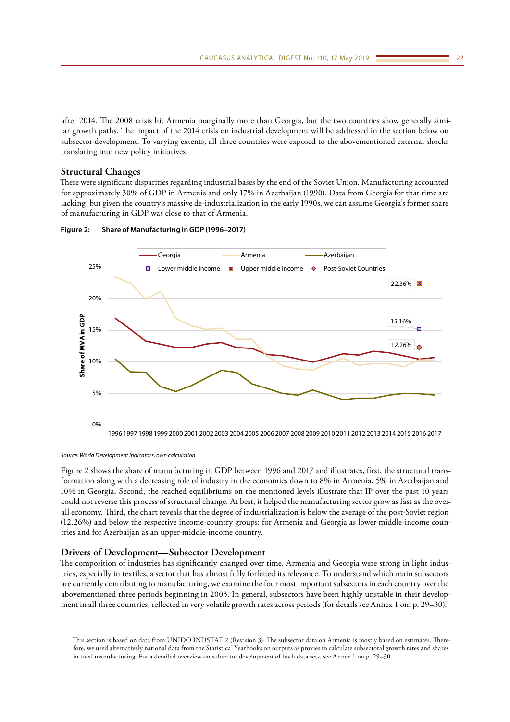after 2014. The 2008 crisis hit Armenia marginally more than Georgia, but the two countries show generally similar growth paths. The impact of the 2014 crisis on industrial development will be addressed in the section below on subsector development. To varying extents, all three countries were exposed to the abovementioned external shocks translating into new policy initiatives.

# **Structural Changes**

There were significant disparities regarding industrial bases by the end of the Soviet Union. Manufacturing accounted for approximately 30% of GDP in Armenia and only 17% in Azerbaijan (1990). Data from Georgia for that time are lacking, but given the country's massive de-industrialization in the early 1990s, we can assume Georgia's former share of manufacturing in GDP was close to that of Armenia.



**Figure 2: Share of Manufacturing in GDP (1996–2017)**

*Source: World Development Indicators, own calculation*

Figure 2 shows the share of manufacturing in GDP between 1996 and 2017 and illustrates, first, the structural transformation along with a decreasing role of industry in the economies down to 8% in Armenia, 5% in Azerbaijan and 10% in Georgia. Second, the reached equilibriums on the mentioned levels illustrate that IP over the past 10 years could not reverse this process of structural change. At best, it helped the manufacturing sector grow as fast as the overall economy. Third, the chart reveals that the degree of industrialization is below the average of the post-Soviet region (12.26%) and below the respective income-country groups: for Armenia and Georgia as lower-middle-income countries and for Azerbaijan as an upper-middle-income country.

# **Drivers of Development—Subsector Development**

The composition of industries has significantly changed over time. Armenia and Georgia were strong in light industries, especially in textiles, a sector that has almost fully forfeited its relevance. To understand which main subsectors are currently contributing to manufacturing, we examine the four most important subsectors in each country over the abovementioned three periods beginning in 2003. In general, subsectors have been highly unstable in their development in all three countries, reflected in very volatile growth rates across periods (for details see Annex 1 om p. 29-30).<sup>1</sup>

<sup>1</sup> This section is based on data from UNIDO INDSTAT 2 (Revision 3). The subsector data on Armenia is mostly based on estimates. Therefore, we used alternatively national data from the Statistical Yearbooks on outputs as proxies to calculate subsectoral growth rates and shares in total manufacturing. For a detailed overview on subsector development of both data sets, see Annex 1 on p. 29–30.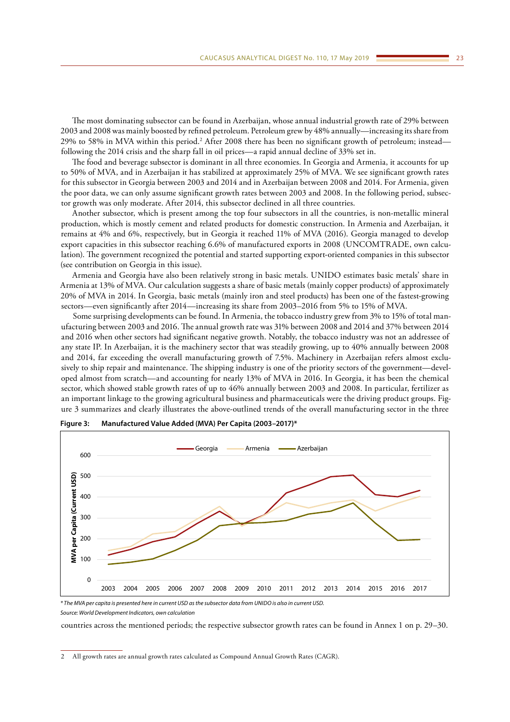The most dominating subsector can be found in Azerbaijan, whose annual industrial growth rate of 29% between 2003 and 2008 was mainly boosted by refined petroleum. Petroleum grew by 48% annually—increasing its share from 29% to 58% in MVA within this period.<sup>2</sup> After 2008 there has been no significant growth of petroleum; instead following the 2014 crisis and the sharp fall in oil prices—a rapid annual decline of 33% set in.

The food and beverage subsector is dominant in all three economies. In Georgia and Armenia, it accounts for up to 50% of MVA, and in Azerbaijan it has stabilized at approximately 25% of MVA. We see significant growth rates for this subsector in Georgia between 2003 and 2014 and in Azerbaijan between 2008 and 2014. For Armenia, given the poor data, we can only assume significant growth rates between 2003 and 2008. In the following period, subsector growth was only moderate. After 2014, this subsector declined in all three countries.

Another subsector, which is present among the top four subsectors in all the countries, is non-metallic mineral production, which is mostly cement and related products for domestic construction. In Armenia and Azerbaijan, it remains at 4% and 6%, respectively, but in Georgia it reached 11% of MVA (2016). Georgia managed to develop export capacities in this subsector reaching 6.6% of manufactured exports in 2008 (UNCOMTRADE, own calculation). The government recognized the potential and started supporting export-oriented companies in this subsector (see contribution on Georgia in this issue).

Armenia and Georgia have also been relatively strong in basic metals. UNIDO estimates basic metals' share in Armenia at 13% of MVA. Our calculation suggests a share of basic metals (mainly copper products) of approximately 20% of MVA in 2014. In Georgia, basic metals (mainly iron and steel products) has been one of the fastest-growing sectors—even significantly after 2014—increasing its share from 2003–2016 from 5% to 15% of MVA.

Some surprising developments can be found. In Armenia, the tobacco industry grew from 3% to 15% of total manufacturing between 2003 and 2016. The annual growth rate was 31% between 2008 and 2014 and 37% between 2014 and 2016 when other sectors had significant negative growth. Notably, the tobacco industry was not an addressee of any state IP. In Azerbaijan, it is the machinery sector that was steadily growing, up to 40% annually between 2008 and 2014, far exceeding the overall manufacturing growth of 7.5%. Machinery in Azerbaijan refers almost exclusively to ship repair and maintenance. The shipping industry is one of the priority sectors of the government—developed almost from scratch—and accounting for nearly 13% of MVA in 2016. In Georgia, it has been the chemical sector, which showed stable growth rates of up to 46% annually between 2003 and 2008. In particular, fertilizer as an important linkage to the growing agricultural business and pharmaceuticals were the driving product groups. Figure 3 summarizes and clearly illustrates the above-outlined trends of the overall manufacturing sector in the three



**Figure 3: Manufactured Value Added (MVA) Per Capita (2003–2017)\***

*\* The MVA per capita is presented here in current USD as the subsector data from UNIDO is also in current USD.*

*Source: World Development Indicators, own calculation*

countries across the mentioned periods; the respective subsector growth rates can be found in Annex 1 on p. 29–30.

2 All growth rates are annual growth rates calculated as Compound Annual Growth Rates (CAGR).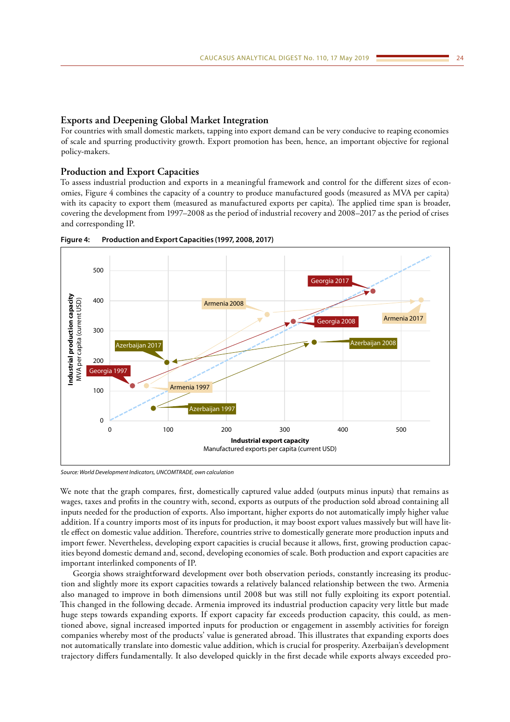### **Exports and Deepening Global Market Integration**

For countries with small domestic markets, tapping into export demand can be very conducive to reaping economies of scale and spurring productivity growth. Export promotion has been, hence, an important objective for regional policy-makers.

### **Production and Export Capacities**

To assess industrial production and exports in a meaningful framework and control for the different sizes of economies, Figure 4 combines the capacity of a country to produce manufactured goods (measured as MVA per capita) with its capacity to export them (measured as manufactured exports per capita). The applied time span is broader, covering the development from 1997–2008 as the period of industrial recovery and 2008–2017 as the period of crises and corresponding IP.



**Figure 4: Production and Export Capacities (1997, 2008, 2017)**

*Source: World Development Indicators, UNCOMTRADE, own calculation*

We note that the graph compares, first, domestically captured value added (outputs minus inputs) that remains as wages, taxes and profits in the country with, second, exports as outputs of the production sold abroad containing all inputs needed for the production of exports. Also important, higher exports do not automatically imply higher value addition. If a country imports most of its inputs for production, it may boost export values massively but will have little effect on domestic value addition. Therefore, countries strive to domestically generate more production inputs and import fewer. Nevertheless, developing export capacities is crucial because it allows, first, growing production capacities beyond domestic demand and, second, developing economies of scale. Both production and export capacities are important interlinked components of IP.

Georgia shows straightforward development over both observation periods, constantly increasing its production and slightly more its export capacities towards a relatively balanced relationship between the two. Armenia also managed to improve in both dimensions until 2008 but was still not fully exploiting its export potential. This changed in the following decade. Armenia improved its industrial production capacity very little but made huge steps towards expanding exports. If export capacity far exceeds production capacity, this could, as mentioned above, signal increased imported inputs for production or engagement in assembly activities for foreign companies whereby most of the products' value is generated abroad. This illustrates that expanding exports does not automatically translate into domestic value addition, which is crucial for prosperity. Azerbaijan's development trajectory differs fundamentally. It also developed quickly in the first decade while exports always exceeded pro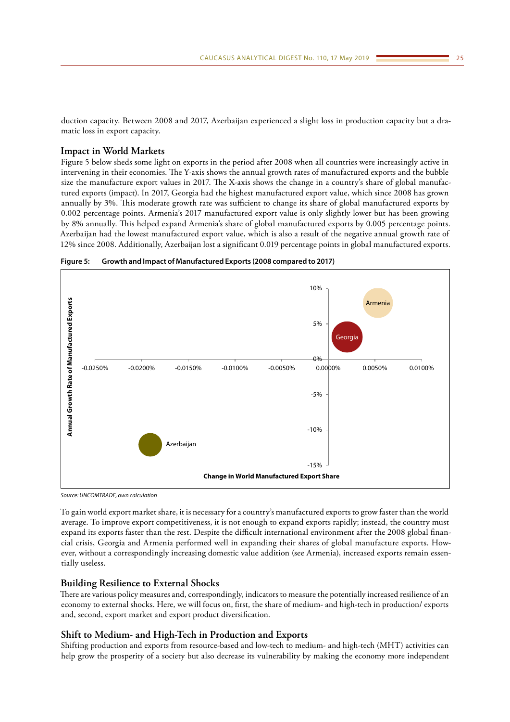duction capacity. Between 2008 and 2017, Azerbaijan experienced a slight loss in production capacity but a dramatic loss in export capacity.

# **Impact in World Markets**

Figure 5 below sheds some light on exports in the period after 2008 when all countries were increasingly active in intervening in their economies. The Y-axis shows the annual growth rates of manufactured exports and the bubble size the manufacture export values in 2017. The X-axis shows the change in a country's share of global manufactured exports (impact). In 2017, Georgia had the highest manufactured export value, which since 2008 has grown annually by 3%. This moderate growth rate was sufficient to change its share of global manufactured exports by 0.002 percentage points. Armenia's 2017 manufactured export value is only slightly lower but has been growing by 8% annually. This helped expand Armenia's share of global manufactured exports by 0.005 percentage points. Azerbaijan had the lowest manufactured export value, which is also a result of the negative annual growth rate of 12% since 2008. Additionally, Azerbaijan lost a significant 0.019 percentage points in global manufactured exports.





*Source: UNCOMTRADE, own calculation*

To gain world export market share, it is necessary for a country's manufactured exports to grow faster than the world average. To improve export competitiveness, it is not enough to expand exports rapidly; instead, the country must expand its exports faster than the rest. Despite the difficult international environment after the 2008 global financial crisis, Georgia and Armenia performed well in expanding their shares of global manufacture exports. However, without a correspondingly increasing domestic value addition (see Armenia), increased exports remain essentially useless.

# **Building Resilience to External Shocks**

There are various policy measures and, correspondingly, indicators to measure the potentially increased resilience of an economy to external shocks. Here, we will focus on, first, the share of medium- and high-tech in production/ exports and, second, export market and export product diversification.

#### **Shift to Medium- and High-Tech in Production and Exports**

Shifting production and exports from resource-based and low-tech to medium- and high-tech (MHT) activities can help grow the prosperity of a society but also decrease its vulnerability by making the economy more independent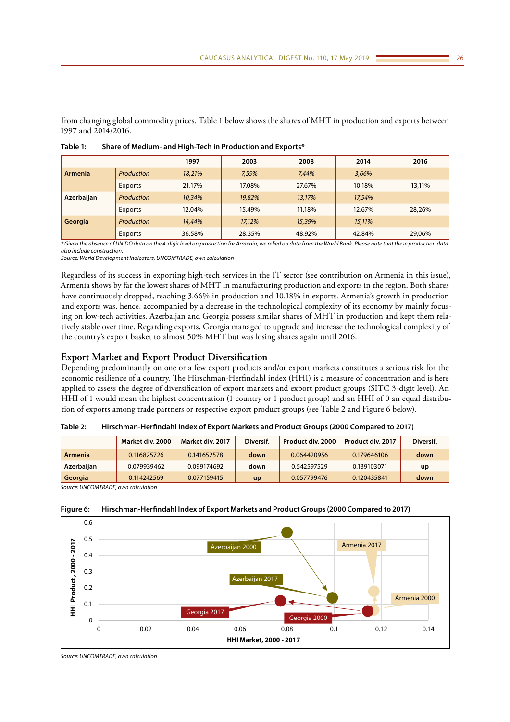from changing global commodity prices. Table 1 below shows the shares of MHT in production and exports between 1997 and 2014/2016.

|            |            | 1997   | 2003   | 2008   | 2014   | 2016   |
|------------|------------|--------|--------|--------|--------|--------|
| Armenia    | Production | 18,21% | 7,55%  | 7,44%  | 3,66%  |        |
|            | Exports    | 21.17% | 17.08% | 27.67% | 10.18% | 13,11% |
| Azerbaijan | Production | 10,34% | 19,82% | 13.17% | 17,54% |        |
|            | Exports    | 12.04% | 15.49% | 11.18% | 12.67% | 28,26% |
| Georgia    | Production | 14,44% | 17.12% | 15,39% | 15,11% |        |
|            | Exports    | 36.58% | 28.35% | 48.92% | 42.84% | 29,06% |

**Table 1: Share of Medium- and High-Tech in Production and Exports\***

*\* Given the absence of UNIDO data on the 4-digit level on production for Armenia, we relied on data from the World Bank. Please note that these production data also include construction.*

*Source: World Development Indicators, UNCOMTRADE, own calculation*

Regardless of its success in exporting high-tech services in the IT sector (see contribution on Armenia in this issue), Armenia shows by far the lowest shares of MHT in manufacturing production and exports in the region. Both shares have continuously dropped, reaching 3.66% in production and 10.18% in exports. Armenia's growth in production and exports was, hence, accompanied by a decrease in the technological complexity of its economy by mainly focusing on low-tech activities. Azerbaijan and Georgia possess similar shares of MHT in production and kept them relatively stable over time. Regarding exports, Georgia managed to upgrade and increase the technological complexity of the country's export basket to almost 50% MHT but was losing shares again until 2016.

# **Export Market and Export Product Diversification**

Depending predominantly on one or a few export products and/or export markets constitutes a serious risk for the economic resilience of a country. The Hirschman-Herfindahl index (HHI) is a measure of concentration and is here applied to assess the degree of diversification of export markets and export product groups (SITC 3-digit level). An HHI of 1 would mean the highest concentration (1 country or 1 product group) and an HHI of 0 an equal distribution of exports among trade partners or respective export product groups (see Table 2 and Figure 6 below).

|            | Market div. 2000 | Market div. 2017 | Diversif. | Product div. 2000 | Product div. 2017 | Diversif. |
|------------|------------------|------------------|-----------|-------------------|-------------------|-----------|
| Armenia    | 0.116825726      | 0.141652578      | down      | 0.064420956       | 0.179646106       | down      |
| Azerbaijan | 0.079939462      | 0.099174692      | down      | 0.542597529       | 0.139103071       | up        |
| Georgia    | 0.114242569      | 0.077159415      | <b>up</b> | 0.057799476       | 0.120435841       | down      |

**Table 2: Hirschman-Herfindahl Index of Export Markets and Product Groups (2000 Compared to 2017)**

*Source: UNCOMTRADE, own calculation*



**Figure 6: Hirschman-Herfindahl Index of Export Markets and Product Groups (2000 Compared to 2017)**

*Source: UNCOMTRADE, own calculation*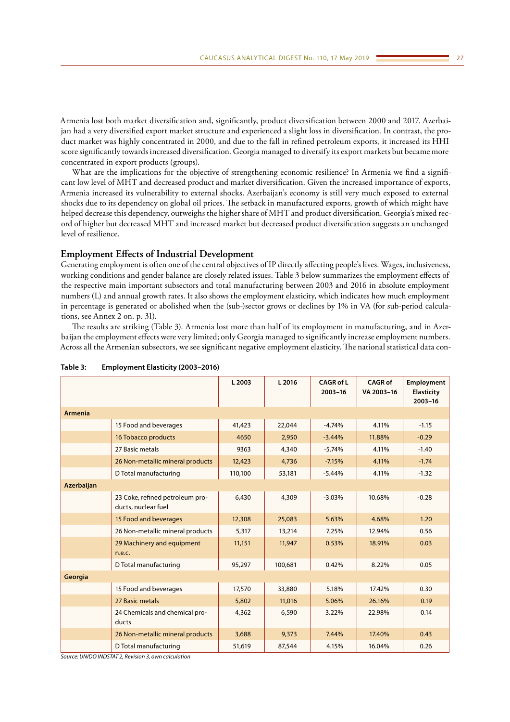Armenia lost both market diversification and, significantly, product diversification between 2000 and 2017. Azerbaijan had a very diversified export market structure and experienced a slight loss in diversification. In contrast, the product market was highly concentrated in 2000, and due to the fall in refined petroleum exports, it increased its HHI score significantly towards increased diversification. Georgia managed to diversify its export markets but became more concentrated in export products (groups).

What are the implications for the objective of strengthening economic resilience? In Armenia we find a significant low level of MHT and decreased product and market diversification. Given the increased importance of exports, Armenia increased its vulnerability to external shocks. Azerbaijan's economy is still very much exposed to external shocks due to its dependency on global oil prices. The setback in manufactured exports, growth of which might have helped decrease this dependency, outweighs the higher share of MHT and product diversification. Georgia's mixed record of higher but decreased MHT and increased market but decreased product diversification suggests an unchanged level of resilience.

# **Employment Effects of Industrial Development**

Generating employment is often one of the central objectives of IP directly affecting people's lives. Wages, inclusiveness, working conditions and gender balance are closely related issues. Table 3 below summarizes the employment effects of the respective main important subsectors and total manufacturing between 2003 and 2016 in absolute employment numbers (L) and annual growth rates. It also shows the employment elasticity, which indicates how much employment in percentage is generated or abolished when the (sub-)sector grows or declines by 1% in VA (for sub-period calculations, see Annex 2 on. p. 31).

The results are striking (Table 3). Armenia lost more than half of its employment in manufacturing, and in Azerbaijan the employment effects were very limited; only Georgia managed to significantly increase employment numbers. Across all the Armenian subsectors, we see significant negative employment elasticity. The national statistical data con-

|                   |                                                        | L 2003  | L 2016  | <b>CAGR of L</b><br>$2003 - 16$ | <b>CAGR of</b><br>VA 2003-16 | Employment<br><b>Elasticity</b><br>2003-16 |
|-------------------|--------------------------------------------------------|---------|---------|---------------------------------|------------------------------|--------------------------------------------|
| <b>Armenia</b>    |                                                        |         |         |                                 |                              |                                            |
|                   | 15 Food and beverages                                  | 41,423  | 22,044  | $-4.74%$                        | 4.11%                        | $-1.15$                                    |
|                   | 16 Tobacco products                                    | 4650    | 2,950   | $-3.44%$                        | 11.88%                       | $-0.29$                                    |
|                   | 27 Basic metals                                        | 9363    | 4,340   | $-5.74%$                        | 4.11%                        | $-1.40$                                    |
|                   | 26 Non-metallic mineral products                       | 12,423  | 4,736   | $-7.15%$                        | 4.11%                        | $-1.74$                                    |
|                   | D Total manufacturing                                  | 110,100 | 53,181  | $-5.44%$                        | 4.11%                        | $-1.32$                                    |
| <b>Azerbaijan</b> |                                                        |         |         |                                 |                              |                                            |
|                   | 23 Coke, refined petroleum pro-<br>ducts, nuclear fuel | 6,430   | 4,309   | $-3.03%$                        | 10.68%                       | $-0.28$                                    |
|                   | 15 Food and beverages                                  | 12,308  | 25,083  | 5.63%                           | 4.68%                        | 1.20                                       |
|                   | 26 Non-metallic mineral products                       | 5,317   | 13,214  | 7.25%                           | 12.94%                       | 0.56                                       |
|                   | 29 Machinery and equipment<br>n.e.c.                   | 11,151  | 11,947  | 0.53%                           | 18.91%                       | 0.03                                       |
|                   | D Total manufacturing                                  | 95,297  | 100,681 | 0.42%                           | 8.22%                        | 0.05                                       |
| Georgia           |                                                        |         |         |                                 |                              |                                            |
|                   | 15 Food and beverages                                  | 17,570  | 33,880  | 5.18%                           | 17.42%                       | 0.30                                       |
|                   | 27 Basic metals                                        | 5,802   | 11,016  | 5.06%                           | 26.16%                       | 0.19                                       |
|                   | 24 Chemicals and chemical pro-<br>ducts                | 4,362   | 6,590   | 3.22%                           | 22.98%                       | 0.14                                       |
|                   | 26 Non-metallic mineral products                       | 3,688   | 9,373   | 7.44%                           | 17.40%                       | 0.43                                       |
|                   | D Total manufacturing                                  | 51,619  | 87,544  | 4.15%                           | 16.04%                       | 0.26                                       |

#### **Table 3: Employment Elasticity (2003–2016)**

*Source: UNIDO INDSTAT 2, Revision 3, own calculation*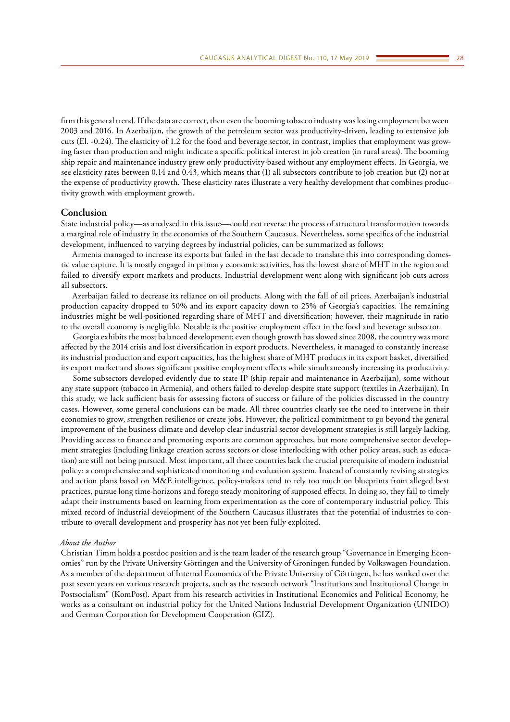firm this general trend. If the data are correct, then even the booming tobacco industry was losing employment between 2003 and 2016. In Azerbaijan, the growth of the petroleum sector was productivity-driven, leading to extensive job cuts (El. -0.24). The elasticity of 1.2 for the food and beverage sector, in contrast, implies that employment was growing faster than production and might indicate a specific political interest in job creation (in rural areas). The booming ship repair and maintenance industry grew only productivity-based without any employment effects. In Georgia, we see elasticity rates between 0.14 and 0.43, which means that (1) all subsectors contribute to job creation but (2) not at the expense of productivity growth. These elasticity rates illustrate a very healthy development that combines productivity growth with employment growth.

#### **Conclusion**

State industrial policy—as analysed in this issue—could not reverse the process of structural transformation towards a marginal role of industry in the economies of the Southern Caucasus. Nevertheless, some specifics of the industrial development, influenced to varying degrees by industrial policies, can be summarized as follows:

Armenia managed to increase its exports but failed in the last decade to translate this into corresponding domestic value capture. It is mostly engaged in primary economic activities, has the lowest share of MHT in the region and failed to diversify export markets and products. Industrial development went along with significant job cuts across all subsectors.

Azerbaijan failed to decrease its reliance on oil products. Along with the fall of oil prices, Azerbaijan's industrial production capacity dropped to 50% and its export capacity down to 25% of Georgia's capacities. The remaining industries might be well-positioned regarding share of MHT and diversification; however, their magnitude in ratio to the overall economy is negligible. Notable is the positive employment effect in the food and beverage subsector.

Georgia exhibits the most balanced development; even though growth has slowed since 2008, the country was more affected by the 2014 crisis and lost diversification in export products. Nevertheless, it managed to constantly increase its industrial production and export capacities, has the highest share of MHT products in its export basket, diversified its export market and shows significant positive employment effects while simultaneously increasing its productivity.

Some subsectors developed evidently due to state IP (ship repair and maintenance in Azerbaijan), some without any state support (tobacco in Armenia), and others failed to develop despite state support (textiles in Azerbaijan). In this study, we lack sufficient basis for assessing factors of success or failure of the policies discussed in the country cases. However, some general conclusions can be made. All three countries clearly see the need to intervene in their economies to grow, strengthen resilience or create jobs. However, the political commitment to go beyond the general improvement of the business climate and develop clear industrial sector development strategies is still largely lacking. Providing access to finance and promoting exports are common approaches, but more comprehensive sector development strategies (including linkage creation across sectors or close interlocking with other policy areas, such as education) are still not being pursued. Most important, all three countries lack the crucial prerequisite of modern industrial policy: a comprehensive and sophisticated monitoring and evaluation system. Instead of constantly revising strategies and action plans based on M&E intelligence, policy-makers tend to rely too much on blueprints from alleged best practices, pursue long time-horizons and forego steady monitoring of supposed effects. In doing so, they fail to timely adapt their instruments based on learning from experimentation as the core of contemporary industrial policy. This mixed record of industrial development of the Southern Caucasus illustrates that the potential of industries to contribute to overall development and prosperity has not yet been fully exploited.

# *About the Author*

Christian Timm holds a postdoc position and is the team leader of the research group "Governance in Emerging Economies" run by the Private University Göttingen and the University of Groningen funded by Volkswagen Foundation. As a member of the department of Internal Economics of the Private University of Göttingen, he has worked over the past seven years on various research projects, such as the research network "Institutions and Institutional Change in Postsocialism" (KomPost). Apart from his research activities in Institutional Economics and Political Economy, he works as a consultant on industrial policy for the United Nations Industrial Development Organization (UNIDO) and German Corporation for Development Cooperation (GIZ).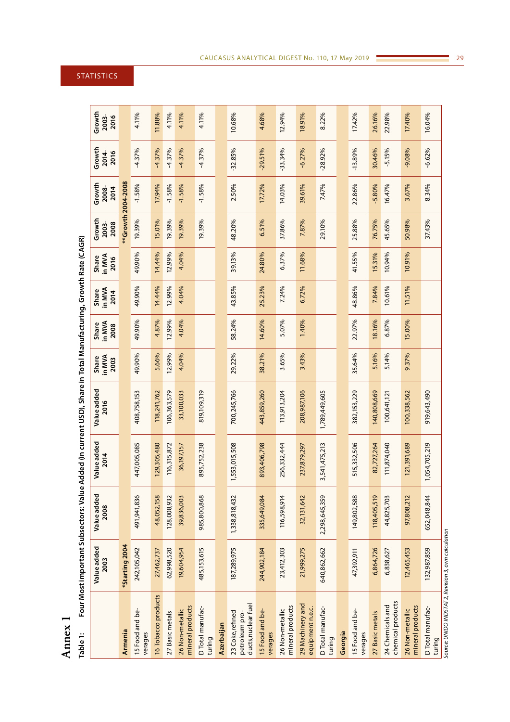**Annex 1**

| Table 1:                                                  | Four Most important Subsectors: Value Added (in current USD), Share in Total Manufacturing, Growth Rate (CAGR) |                     |                     |                     |                         |                         |                         |                         |                         |                         |                         |                         |
|-----------------------------------------------------------|----------------------------------------------------------------------------------------------------------------|---------------------|---------------------|---------------------|-------------------------|-------------------------|-------------------------|-------------------------|-------------------------|-------------------------|-------------------------|-------------------------|
|                                                           | Value added<br>2003                                                                                            | Value added<br>2008 | Value added<br>2014 | Value added<br>2016 | in MVA<br>Share<br>2003 | in MVA<br>Share<br>2008 | in MVA<br>Share<br>2014 | in MVA<br>Share<br>2016 | Growth<br>2003-<br>2008 | Growth<br>2008-<br>2014 | Growth<br>2014-<br>2016 | Growth<br>2003-<br>2016 |
| Armenia                                                   | *Starting 2004                                                                                                 |                     |                     |                     |                         |                         |                         |                         | *Growth 2004-2008       |                         |                         |                         |
| 15 Food and be-<br>verages                                | 242,105,042                                                                                                    | 491,941,836         | 447,005,085         | 408,758,153         | 49.90%                  | 49.90%                  | 49.90%                  | 49.90%                  | 19.39%                  | $-1.58%$                | $-4.37%$                | 4.11%                   |
| 16 Tobacco products                                       | 27,462,737                                                                                                     | 48,052,158          | 129,305,480         | 118,241,762         | 5.66%                   | 4.87%                   | 14.44%                  | 14.44%                  | 15.01%                  | 17.94%                  | $-4.37%$                | 11.88%                  |
| 27 Basic metals                                           | 62,998,520                                                                                                     | 128,008,932         | 116,315,872         | 106,363,579         | 12.99%                  | 12.99%                  | 12.99%                  | 12.99%                  | 19.39%                  | $-1.58%$                | $-4.37%$                | 4.11%                   |
| mineral products<br>26 Non-metallic                       | 19,604,954                                                                                                     | 39,836,003          | 36,197,157          | 33,100,033          | 4.04%                   | 4.04%                   | 4.04%                   | 4.04%                   | 19.39%                  | $-1.58%$                | $-4.37%$                | 4.11%                   |
| D Total manufac-<br>turing                                | 485, 153, 615                                                                                                  | 985,800,868         | 895,752,238         | 819,109,319         |                         |                         |                         |                         | 19.39%                  | $-1.58%$                | $-4.37%$                | 4.11%                   |
| Azerbaijan                                                |                                                                                                                |                     |                     |                     |                         |                         |                         |                         |                         |                         |                         |                         |
| ducts, nuclear fuel<br>23 Coke, refined<br>petroleum pro- | 187,289,975                                                                                                    | 1,338,818,432       | 1,553,015,508       | 700,245,766         | 29.22%                  | 58.24%                  | 43.85%                  | 39.13%                  | 48.20%                  | 2.50%                   | $-32.85%$               | 10.68%                  |
| 15 Food and be-<br>verages                                | 244,902,184                                                                                                    | 335,649,084         | 893,406,798         | 443,859,260         | 38.21%                  | 14.60%                  | 25.23%                  | 24.80%                  | 6.51%                   | 17.72%                  | $-29.51%$               | 4.68%                   |
| mineral products<br>26 Non-metallic                       | 23,412,303                                                                                                     | 116,598,914         | 256,332,444         | 113,913,204         | 3.65%                   | 5.07%                   | 7.24%                   | 6.37%                   | 37.86%                  | 14.03%                  | 33.34%                  | 12.94%                  |
| 29 Machinery and<br>equipment n.e.c.                      | 21,999,275                                                                                                     | 32,131,642          | 237,879,297         | 208,987,106         | 3.43%                   | 1.40%                   | 6.72%                   | 11.68%                  | 7.87%                   | 39.61%                  | $-6.27%$                | 18.91%                  |
| D Total manufac-<br>turing                                | 640,862,662                                                                                                    | 2,298,645,359       | 3,541,475,213       | 1,789,449,605       |                         |                         |                         |                         | 29.10%                  | 7.47%                   | $-28.92%$               | 8.22%                   |
| Georgia                                                   |                                                                                                                |                     |                     |                     |                         |                         |                         |                         |                         |                         |                         |                         |
| 15 Food and be-<br>verages                                | 47,392,911                                                                                                     | 149,802,588         | 515,332,506         | 382,153,229         | 35.64%                  | 22.97%                  | 48.86%                  | 41.55%                  | 25.88%                  | 22.86%                  | $-13.89%$               | 17.42%                  |
| 27 Basic metals                                           | 6,864,726                                                                                                      | 118,405,519         | 82,727,264          | 140,808,669         | 5.16%                   | 18.16%                  | 7.84%                   | 15.31%                  | 76.75%                  | $-5.80%$                | 30.46%                  | 26.16%                  |
| chemical products<br>24 Chemicals and                     | 6,838,627                                                                                                      | 44,825,703          | 111,874,040         | 100,641,121         | 5.14%                   | 6.87%                   | 10.61%                  | 10.94%                  | 45.65%                  | 16.47%                  | $-5.15%$                | 22.98%                  |
| mineral products<br>26 Non-metallic                       | 12,465,453                                                                                                     | 97,808,212          | 121,391,689         | 100,338,562         | 9.37%                   | 15.00%                  | 11.51%                  | 10.91%                  | 50.98%                  | 3.67%                   | $-9.08%$                | 17.40%                  |
| D Total manufac-<br>turing                                | 132,987,859                                                                                                    | 652,048,844         | 1,054,705,219       | 919,643,490         |                         |                         |                         |                         | 37.43%                  | 8.34%                   | $-6.62%$                | 16.04%                  |
| Source: UNIDO INDSTAT 2, Revision 3, own calculation      |                                                                                                                |                     |                     |                     |                         |                         |                         |                         |                         |                         |                         |                         |

# <span id="page-28-0"></span>STATISTICS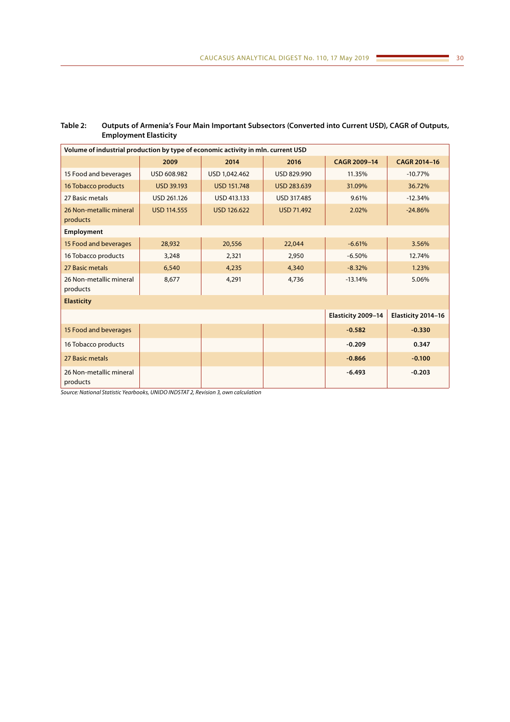| Volume of industrial production by type of economic activity in mln. current USD |                    |                    |                   |                    |                    |
|----------------------------------------------------------------------------------|--------------------|--------------------|-------------------|--------------------|--------------------|
|                                                                                  | 2009               | 2014               | 2016              | CAGR 2009-14       | CAGR 2014-16       |
| 15 Food and beverages                                                            | USD 608.982        | USD 1,042.462      | USD 829.990       | 11.35%             | $-10.77%$          |
| 16 Tobacco products                                                              | <b>USD 39.193</b>  | <b>USD 151.748</b> | USD 283.639       | 31.09%             | 36.72%             |
| 27 Basic metals                                                                  | USD 261.126        | USD 413.133        | USD 317.485       | 9.61%              | $-12.34%$          |
| 26 Non-metallic mineral<br>products                                              | <b>USD 114.555</b> | <b>USD 126.622</b> | <b>USD 71.492</b> | 2.02%              | $-24.86%$          |
| Employment                                                                       |                    |                    |                   |                    |                    |
| 15 Food and beverages                                                            | 28,932             | 20,556             | 22,044            | $-6.61%$           | 3.56%              |
| 16 Tobacco products                                                              | 3,248              | 2,321              | 2,950             | $-6.50%$           | 12.74%             |
| 27 Basic metals                                                                  | 6,540              | 4,235              | 4,340             | $-8.32%$           | 1.23%              |
| 26 Non-metallic mineral<br>products                                              | 8,677              | 4,291              | 4,736             | $-13.14%$          | 5.06%              |
| <b>Elasticity</b>                                                                |                    |                    |                   |                    |                    |
|                                                                                  |                    |                    |                   | Elasticity 2009-14 | Elasticity 2014-16 |
| 15 Food and beverages                                                            |                    |                    |                   | $-0.582$           | $-0.330$           |
| 16 Tobacco products                                                              |                    |                    |                   | $-0.209$           | 0.347              |
| 27 Basic metals                                                                  |                    |                    |                   | $-0.866$           | $-0.100$           |
| 26 Non-metallic mineral<br>products                                              |                    |                    |                   | $-6.493$           | $-0.203$           |

# **Table 2: Outputs of Armenia's Four Main Important Subsectors (Converted into Current USD), CAGR of Outputs, Employment Elasticity**

*Source: National Statistic Yearbooks, UNIDO INDSTAT 2, Revision 3, own calculation*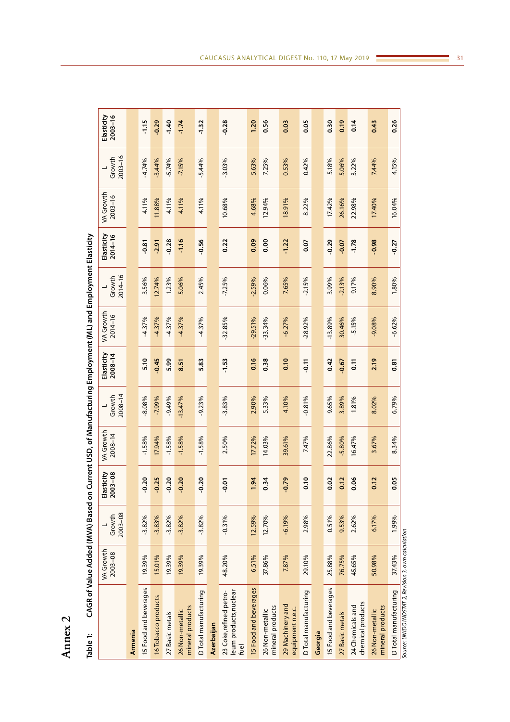| J      |  |
|--------|--|
| P<br>¢ |  |
| ٦<br>- |  |
|        |  |

<span id="page-30-0"></span>

| Table 1:                                                 |                             |                       |                       | CAGR of Value Added (MVA) Based on Current USD, of Manufacturing Employment (ML) and Employment Elasticity |                       |                           |                          |                       |                           |                          |                       |                           |
|----------------------------------------------------------|-----------------------------|-----------------------|-----------------------|------------------------------------------------------------------------------------------------------------|-----------------------|---------------------------|--------------------------|-----------------------|---------------------------|--------------------------|-----------------------|---------------------------|
|                                                          | <b>VA Growth</b><br>2003-08 | $2003 - 08$<br>Growth | Elasticity<br>2003-08 | <b>VA Growth</b><br>$2008 - 14$                                                                            | $2008 - 14$<br>Growth | Elasticity<br>$2008 - 14$ | VA Growth<br>$2014 - 16$ | $2014 - 16$<br>Growth | Elasticity<br>$2014 - 16$ | VA Growth<br>$2003 - 16$ | $2003 - 16$<br>Growth | Elasticity<br>$2003 - 16$ |
| Armenia                                                  |                             |                       |                       |                                                                                                            |                       |                           |                          |                       |                           |                          |                       |                           |
| 15 Food and beverages                                    | 19.39%                      | $-3.82%$              | $-0.20$               | $-1.58%$                                                                                                   | $-8.08%$              | 5.10                      | $-4.37%$                 | 3.56%                 | $-0.81$                   | 4.11%                    | $-4.74%$              | $-1.15$                   |
| 16 Tobacco products                                      | 15.01%                      | $-3.83%$              | $-0.25$               | 17.94%                                                                                                     | $-7.99%$              | $-0.45$                   | $-4.37%$                 | 12.74%                | $-2.91$                   | 11.88%                   | $-3.44%$              | $-0.29$                   |
| 27 Basic metals                                          | 19.39%                      | $-3.82%$              | $-0.20$               | $-1.58%$                                                                                                   | $-9.49%$              | 5.99                      | $-4.37%$                 | 1.23%                 | $-0.28$                   | 4.11%                    | $-5.74%$              | $-1.40$                   |
| mineral products<br>26 Non-metallic                      | 19.39%                      | $-3.82%$              | $-0.20$               | $-1.58%$                                                                                                   | $-13.47%$             | 8.51                      | $-4.37%$                 | 5.06%                 | $-1.16$                   | 4.11%                    | $-7.15%$              | $-1.74$                   |
| D Total manufacturing                                    | 19.39%                      | $-3.82%$              | $-0.20$               | $-1.58%$                                                                                                   | $-9.23%$              | 5.83                      | $-4.37%$                 | 2.45%                 | $-0.56$                   | 4.11%                    | $-5.44%$              | $-1.32$                   |
| Azerbaijan                                               |                             |                       |                       |                                                                                                            |                       |                           |                          |                       |                           |                          |                       |                           |
| leum products, nuclear<br>23 Coke,refined petro-<br>fuel | 48.20%                      | $-0.31%$              | $-0.01$               | 2.50%                                                                                                      | $-3.83%$              | $-1.53$                   | $-32.85%$                | $-7.25%$              | 0.22                      | 10.68%                   | $-3.03%$              | $-0.28$                   |
| <b>IS Food and beverages</b>                             | 6.51%                       | 12.59%                | 1.94                  | 17.72%                                                                                                     | 2.90%                 | 0.16                      | $-29.51%$                | $-2.59%$              | 0.09                      | 4.68%                    | 5.63%                 | 1.20                      |
| mineral products<br>26 Non-metallic                      | 37.86%                      | 12.70%                | 0.34                  | 14.03%                                                                                                     | 5.33%                 | 0.38                      | 33.34%                   | 0.06%                 | 0.00                      | 12.94%                   | 7.25%                 | 0.56                      |
| 29 Machinery and<br>equipment n.e.c.                     | 7.87%                       | $-6.19%$              | $-0.79$               | 39.61%                                                                                                     | 4.10%                 | 0.10                      | $-6.27%$                 | 7.65%                 | $-1.22$                   | 18.91%                   | 0.53%                 | 0.03                      |
| D Total manufacturing                                    | 29.10%                      | 2.98%                 | $\frac{1}{2}$         | 7.47%                                                                                                      | $-0.81%$              | $-0.11$                   | $-28.92%$                | $-2.15%$              | 0.07                      | 8.22%                    | 0.42%                 | 0.05                      |
| Georgia                                                  |                             |                       |                       |                                                                                                            |                       |                           |                          |                       |                           |                          |                       |                           |
| I5 Food and beverages                                    | 25.88%                      | 0.51%                 | 0.02                  | 22.86%                                                                                                     | 9.65%                 | 0.42                      | $-13.89%$                | 3.99%                 | $-0.29$                   | 17.42%                   | 5.18%                 | 0.30                      |
| 27 Basic metals                                          | 76.75%                      | 9.53%                 | 0.12                  | -5.80%                                                                                                     | 3.89%                 | $-0.67$                   | 30.46%                   | $-2.13%$              | $-0.07$                   | 26.16%                   | 5.06%                 | 0.19                      |
| chemical products<br>24 Chemicals and                    | 45.65%                      | 2.62%                 | 0.06                  | 16.47%                                                                                                     | 1.81%                 | $\overline{5}$            | $-5.15%$                 | 9.17%                 | $-1.78$                   | 22.98%                   | 3.22%                 | 0.14                      |
| mineral products<br>26 Non-metallic                      | 50.98%                      | 6.17%                 | 0.12                  | 3.67%                                                                                                      | 8.02%                 | 2.19                      | $-9.08%$                 | 8.90%                 | $-0.98$                   | 17.40%                   | 7.44%                 | 0.43                      |
| D Total manufacturing                                    | 37.43%                      | 1.99%                 | 0.05                  | 8.34%                                                                                                      | 6.79%                 | 0.81                      | $-6.62%$                 | 1.80%                 | $-0.27$                   | 16.04%                   | 4.15%                 | 0.26                      |

Source: UNIDO INDSTAT 2, Revision 3, own calculation *Source: UNIDO INDSTAT 2, Revision 3, own calculation*